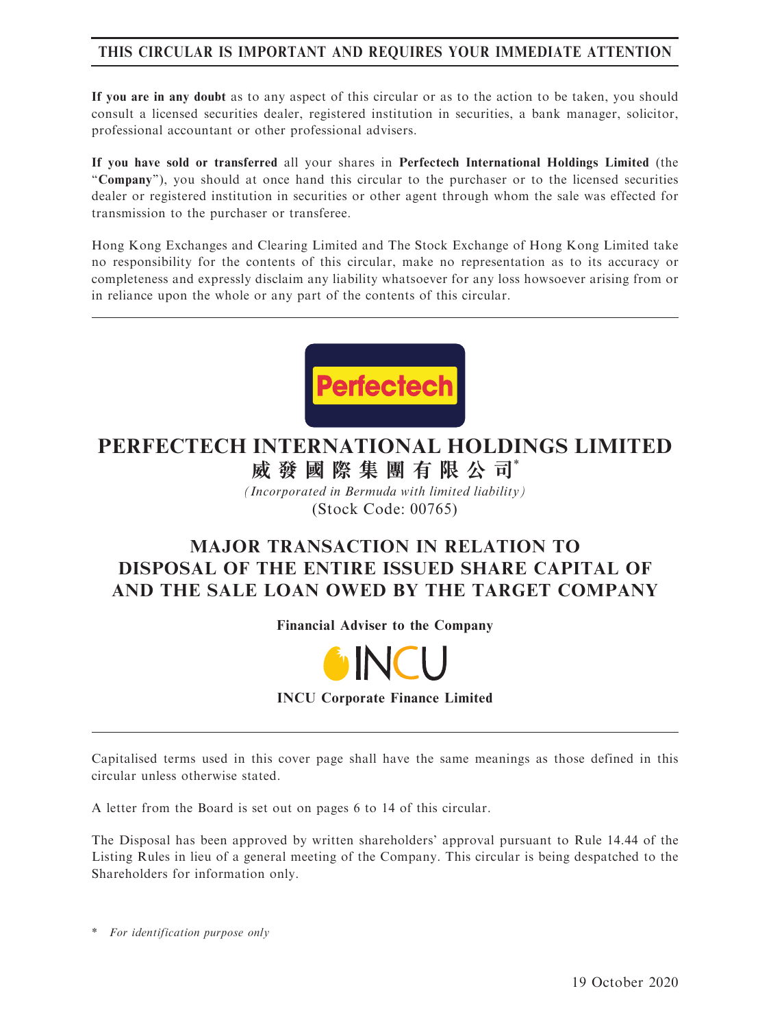# THIS CIRCULAR IS IMPORTANT AND REQUIRES YOUR IMMEDIATE ATTENTION

If you are in any doubt as to any aspect of this circular or as to the action to be taken, you should consult a licensed securities dealer, registered institution in securities, a bank manager, solicitor, professional accountant or other professional advisers.

If you have sold or transferred all your shares in Perfectech International Holdings Limited (the ''Company''), you should at once hand this circular to the purchaser or to the licensed securities dealer or registered institution in securities or other agent through whom the sale was effected for transmission to the purchaser or transferee.

Hong Kong Exchanges and Clearing Limited and The Stock Exchange of Hong Kong Limited take no responsibility for the contents of this circular, make no representation as to its accuracy or completeness and expressly disclaim any liability whatsoever for any loss howsoever arising from or in reliance upon the whole or any part of the contents of this circular.



# **PERFECTECH INTERNATIONAL HOLDINGS LIMITED 威發國際集團有限公司**\*

*(Incorporated in Bermuda with limited liability)* (Stock Code: 00765)

# MAJOR TRANSACTION IN RELATION TO DISPOSAL OF THE ENTIRE ISSUED SHARE CAPITAL OF AND THE SALE LOAN OWED BY THE TARGET COMPANY

Financial Adviser to the Company



INCU Corporate Finance Limited

Capitalised terms used in this cover page shall have the same meanings as those defined in this circular unless otherwise stated.

A letter from the Board is set out on pages 6 to 14 of this circular.

The Disposal has been approved by written shareholders' approval pursuant to Rule 14.44 of the Listing Rules in lieu of a general meeting of the Company. This circular is being despatched to the Shareholders for information only.

\* For identification purpose only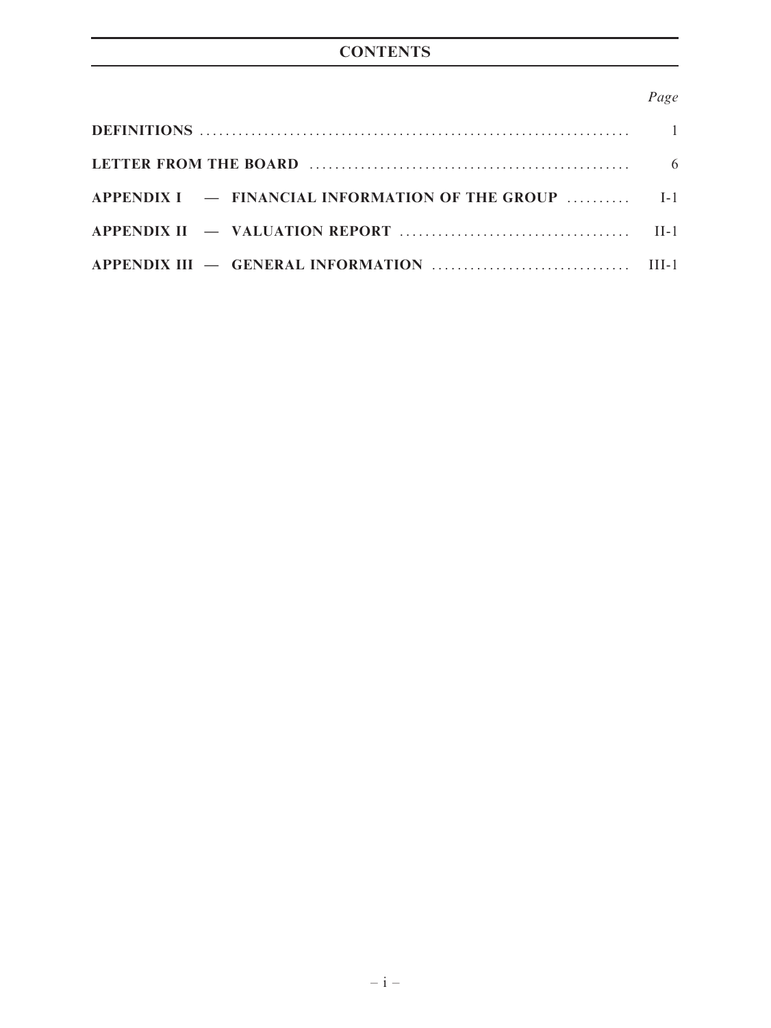# **CONTENTS**

# Page

| APPENDIX $I = \text{FINANCIAL INFORMATION OF THE GROUP}$ $I-1$ |  |
|----------------------------------------------------------------|--|
|                                                                |  |
|                                                                |  |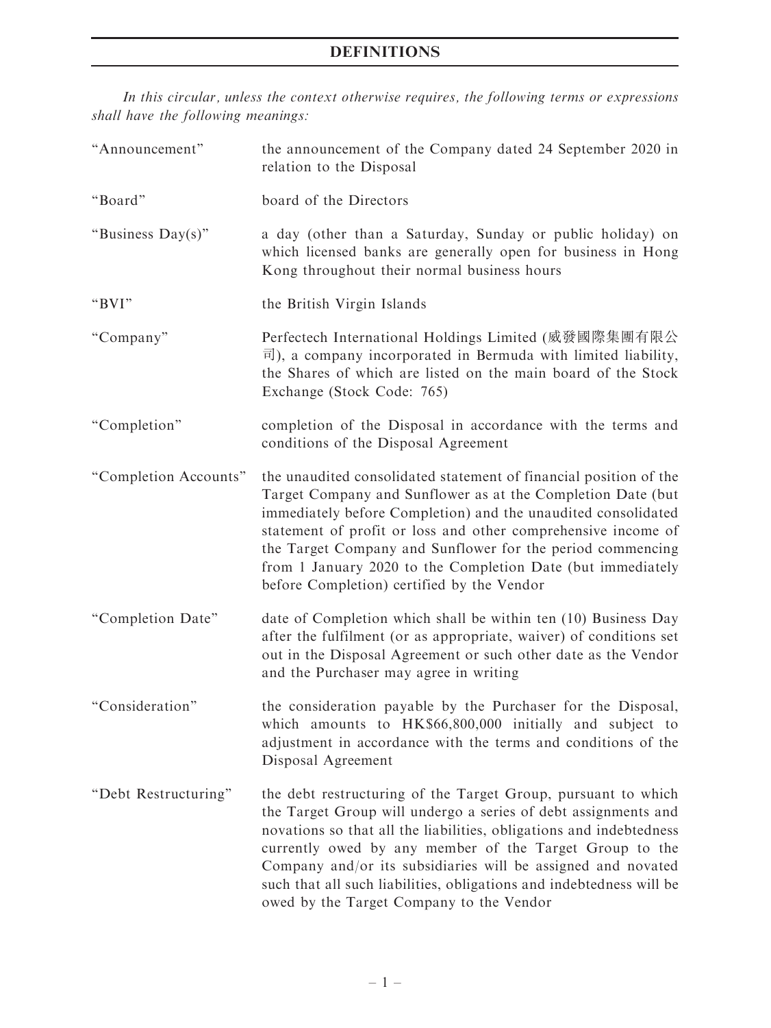In this circular, unless the context otherwise requires, the following terms or expressions shall have the following meanings:

| "Announcement"        | the announcement of the Company dated 24 September 2020 in<br>relation to the Disposal                                                                                                                                                                                                                                                                                                                                                                |
|-----------------------|-------------------------------------------------------------------------------------------------------------------------------------------------------------------------------------------------------------------------------------------------------------------------------------------------------------------------------------------------------------------------------------------------------------------------------------------------------|
| "Board"               | board of the Directors                                                                                                                                                                                                                                                                                                                                                                                                                                |
| "Business Day(s)"     | a day (other than a Saturday, Sunday or public holiday) on<br>which licensed banks are generally open for business in Hong<br>Kong throughout their normal business hours                                                                                                                                                                                                                                                                             |
| " $BVI"$              | the British Virgin Islands                                                                                                                                                                                                                                                                                                                                                                                                                            |
| "Company"             | Perfectech International Holdings Limited (威發國際集團有限公<br>$\vec{p}$ ), a company incorporated in Bermuda with limited liability,<br>the Shares of which are listed on the main board of the Stock<br>Exchange (Stock Code: 765)                                                                                                                                                                                                                         |
| "Completion"          | completion of the Disposal in accordance with the terms and<br>conditions of the Disposal Agreement                                                                                                                                                                                                                                                                                                                                                   |
| "Completion Accounts" | the unaudited consolidated statement of financial position of the<br>Target Company and Sunflower as at the Completion Date (but<br>immediately before Completion) and the unaudited consolidated<br>statement of profit or loss and other comprehensive income of<br>the Target Company and Sunflower for the period commencing<br>from 1 January 2020 to the Completion Date (but immediately<br>before Completion) certified by the Vendor         |
| "Completion Date"     | date of Completion which shall be within ten (10) Business Day<br>after the fulfilment (or as appropriate, waiver) of conditions set<br>out in the Disposal Agreement or such other date as the Vendor<br>and the Purchaser may agree in writing                                                                                                                                                                                                      |
| "Consideration"       | the consideration payable by the Purchaser for the Disposal,<br>which amounts to HK\$66,800,000 initially and subject to<br>adjustment in accordance with the terms and conditions of the<br>Disposal Agreement                                                                                                                                                                                                                                       |
| "Debt Restructuring"  | the debt restructuring of the Target Group, pursuant to which<br>the Target Group will undergo a series of debt assignments and<br>novations so that all the liabilities, obligations and indebtedness<br>currently owed by any member of the Target Group to the<br>Company and/or its subsidiaries will be assigned and novated<br>such that all such liabilities, obligations and indebtedness will be<br>owed by the Target Company to the Vendor |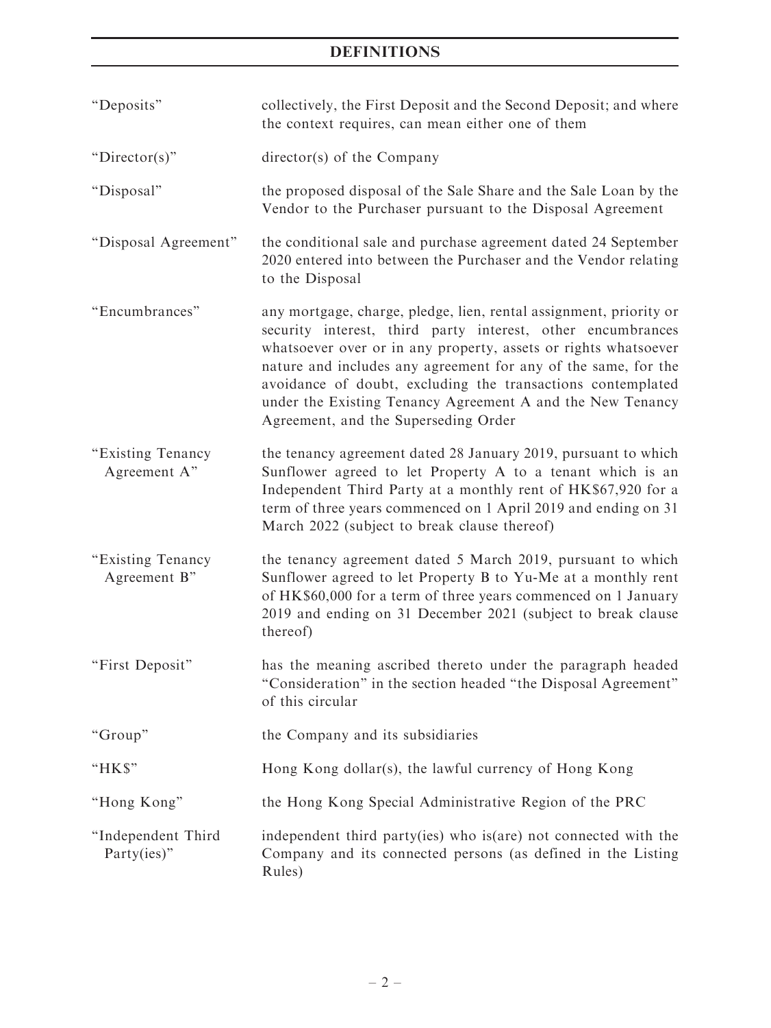| "Deposits"                        | collectively, the First Deposit and the Second Deposit; and where<br>the context requires, can mean either one of them                                                                                                                                                                                                                                                                                                                      |
|-----------------------------------|---------------------------------------------------------------------------------------------------------------------------------------------------------------------------------------------------------------------------------------------------------------------------------------------------------------------------------------------------------------------------------------------------------------------------------------------|
| " $Directory$ "                   | director(s) of the Company                                                                                                                                                                                                                                                                                                                                                                                                                  |
| "Disposal"                        | the proposed disposal of the Sale Share and the Sale Loan by the<br>Vendor to the Purchaser pursuant to the Disposal Agreement                                                                                                                                                                                                                                                                                                              |
| "Disposal Agreement"              | the conditional sale and purchase agreement dated 24 September<br>2020 entered into between the Purchaser and the Vendor relating<br>to the Disposal                                                                                                                                                                                                                                                                                        |
| "Encumbrances"                    | any mortgage, charge, pledge, lien, rental assignment, priority or<br>security interest, third party interest, other encumbrances<br>whatsoever over or in any property, assets or rights whatsoever<br>nature and includes any agreement for any of the same, for the<br>avoidance of doubt, excluding the transactions contemplated<br>under the Existing Tenancy Agreement A and the New Tenancy<br>Agreement, and the Superseding Order |
| "Existing Tenancy<br>Agreement A" | the tenancy agreement dated 28 January 2019, pursuant to which<br>Sunflower agreed to let Property A to a tenant which is an<br>Independent Third Party at a monthly rent of HK\$67,920 for a<br>term of three years commenced on 1 April 2019 and ending on 31<br>March 2022 (subject to break clause thereof)                                                                                                                             |
| "Existing Tenancy<br>Agreement B" | the tenancy agreement dated 5 March 2019, pursuant to which<br>Sunflower agreed to let Property B to Yu-Me at a monthly rent<br>of HK\$60,000 for a term of three years commenced on 1 January<br>2019 and ending on 31 December 2021 (subject to break clause<br>thereof)                                                                                                                                                                  |
| "First Deposit"                   | has the meaning ascribed thereto under the paragraph headed<br>"Consideration" in the section headed "the Disposal Agreement"<br>of this circular                                                                                                                                                                                                                                                                                           |
| "Group"                           | the Company and its subsidiaries                                                                                                                                                                                                                                                                                                                                                                                                            |
| "HK\$"                            | Hong Kong dollar(s), the lawful currency of Hong Kong                                                                                                                                                                                                                                                                                                                                                                                       |
| "Hong Kong"                       | the Hong Kong Special Administrative Region of the PRC                                                                                                                                                                                                                                                                                                                                                                                      |
| "Independent Third<br>Party(ies)" | independent third party(ies) who is(are) not connected with the<br>Company and its connected persons (as defined in the Listing<br>Rules)                                                                                                                                                                                                                                                                                                   |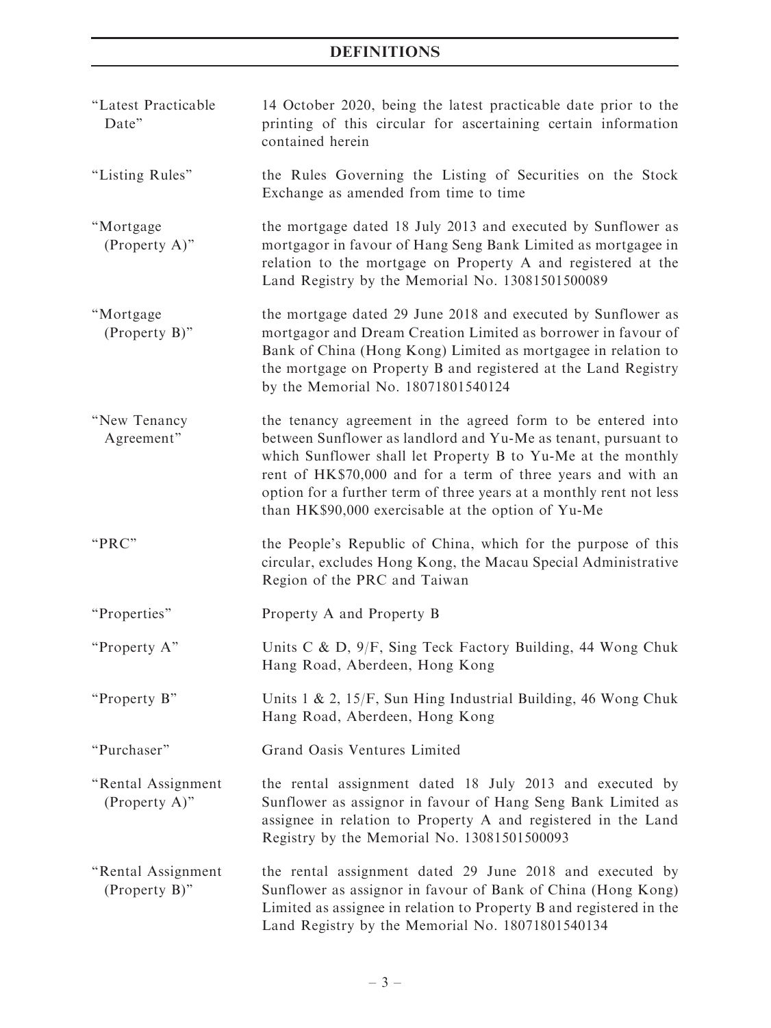| "Latest Practicable<br>Date"           | 14 October 2020, being the latest practicable date prior to the<br>printing of this circular for ascertaining certain information<br>contained herein                                                                                                                                                                                                                                      |
|----------------------------------------|--------------------------------------------------------------------------------------------------------------------------------------------------------------------------------------------------------------------------------------------------------------------------------------------------------------------------------------------------------------------------------------------|
| "Listing Rules"                        | the Rules Governing the Listing of Securities on the Stock<br>Exchange as amended from time to time                                                                                                                                                                                                                                                                                        |
| "Mortgage<br>(Property A)"             | the mortgage dated 18 July 2013 and executed by Sunflower as<br>mortgagor in favour of Hang Seng Bank Limited as mortgagee in<br>relation to the mortgage on Property A and registered at the<br>Land Registry by the Memorial No. 13081501500089                                                                                                                                          |
| "Mortgage<br>(Property B)"             | the mortgage dated 29 June 2018 and executed by Sunflower as<br>mortgagor and Dream Creation Limited as borrower in favour of<br>Bank of China (Hong Kong) Limited as mortgagee in relation to<br>the mortgage on Property B and registered at the Land Registry<br>by the Memorial No. 18071801540124                                                                                     |
| "New Tenancy<br>Agreement"             | the tenancy agreement in the agreed form to be entered into<br>between Sunflower as landlord and Yu-Me as tenant, pursuant to<br>which Sunflower shall let Property B to Yu-Me at the monthly<br>rent of HK\$70,000 and for a term of three years and with an<br>option for a further term of three years at a monthly rent not less<br>than HK\$90,000 exercisable at the option of Yu-Me |
| "PRC"                                  | the People's Republic of China, which for the purpose of this<br>circular, excludes Hong Kong, the Macau Special Administrative<br>Region of the PRC and Taiwan                                                                                                                                                                                                                            |
| "Properties"                           | Property A and Property B                                                                                                                                                                                                                                                                                                                                                                  |
| "Property A"                           | Units C & D, 9/F, Sing Teck Factory Building, 44 Wong Chuk<br>Hang Road, Aberdeen, Hong Kong                                                                                                                                                                                                                                                                                               |
| "Property B"                           | Units $1 \& 2$ , $15/F$ , Sun Hing Industrial Building, 46 Wong Chuk<br>Hang Road, Aberdeen, Hong Kong                                                                                                                                                                                                                                                                                     |
| "Purchaser"                            | Grand Oasis Ventures Limited                                                                                                                                                                                                                                                                                                                                                               |
| "Rental Assignment<br>(Property A)"    | the rental assignment dated 18 July 2013 and executed by<br>Sunflower as assignor in favour of Hang Seng Bank Limited as<br>assignee in relation to Property A and registered in the Land<br>Registry by the Memorial No. 13081501500093                                                                                                                                                   |
| "Rental Assignment<br>$(Property B)$ " | the rental assignment dated 29 June 2018 and executed by<br>Sunflower as assignor in favour of Bank of China (Hong Kong)<br>Limited as assignee in relation to Property B and registered in the<br>Land Registry by the Memorial No. 18071801540134                                                                                                                                        |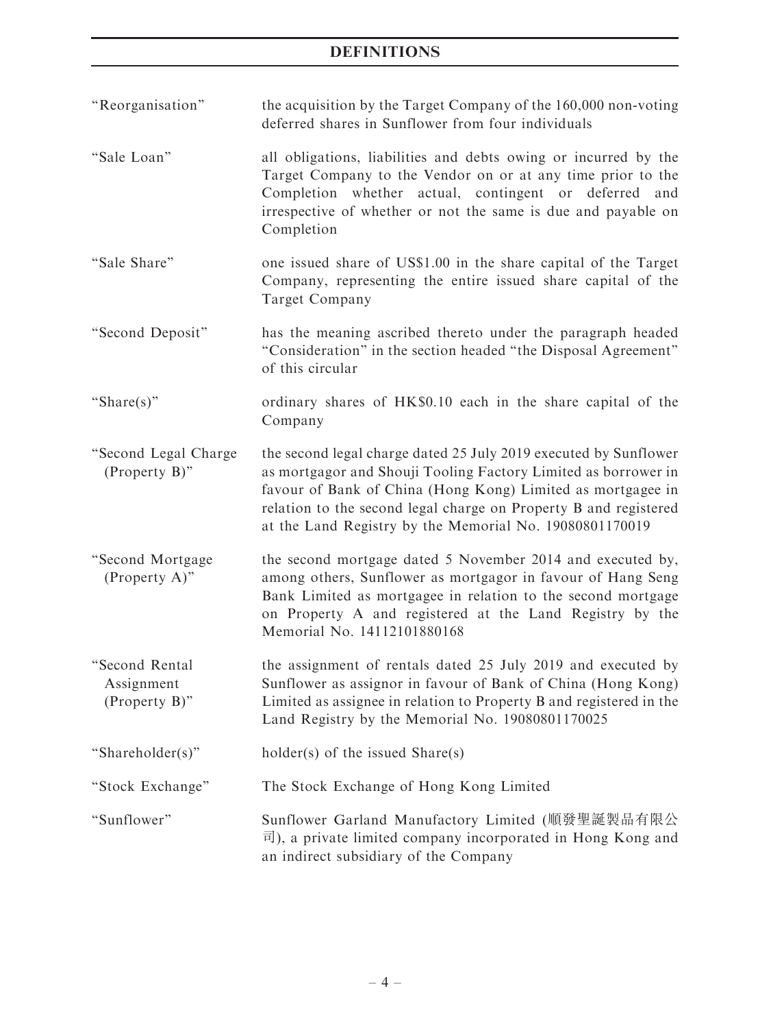''Reorganisation'' the acquisition by the Target Company of the 160,000 non-voting deferred shares in Sunflower from four individuals

- ''Sale Loan'' all obligations, liabilities and debts owing or incurred by the Target Company to the Vendor on or at any time prior to the Completion whether actual, contingent or deferred and irrespective of whether or not the same is due and payable on Completion
- "Sale Share" one issued share of US\$1.00 in the share capital of the Target Company, representing the entire issued share capital of the Target Company
- ''Second Deposit'' has the meaning ascribed thereto under the paragraph headed ''Consideration'' in the section headed ''the Disposal Agreement'' of this circular
- "Share(s)" ordinary shares of HK\$0.10 each in the share capital of the Company
- ''Second Legal Charge (Property B)'' the second legal charge dated 25 July 2019 executed by Sunflower as mortgagor and Shouji Tooling Factory Limited as borrower in favour of Bank of China (Hong Kong) Limited as mortgagee in relation to the second legal charge on Property B and registered at the Land Registry by the Memorial No. 19080801170019
- ''Second Mortgage (Property A)'' the second mortgage dated 5 November 2014 and executed by, among others, Sunflower as mortgagor in favour of Hang Seng Bank Limited as mortgagee in relation to the second mortgage on Property A and registered at the Land Registry by the Memorial No. 14112101880168
- ''Second Rental Assignment (Property B)'' the assignment of rentals dated 25 July 2019 and executed by Sunflower as assignor in favour of Bank of China (Hong Kong) Limited as assignee in relation to Property B and registered in the Land Registry by the Memorial No. 19080801170025

"Shareholder(s)" holder(s) of the issued Share(s)

- ''Stock Exchange'' The Stock Exchange of Hong Kong Limited
- ''Sunflower'' Sunflower Garland Manufactory Limited (順發聖誕製品有限公 司), a private limited company incorporated in Hong Kong and an indirect subsidiary of the Company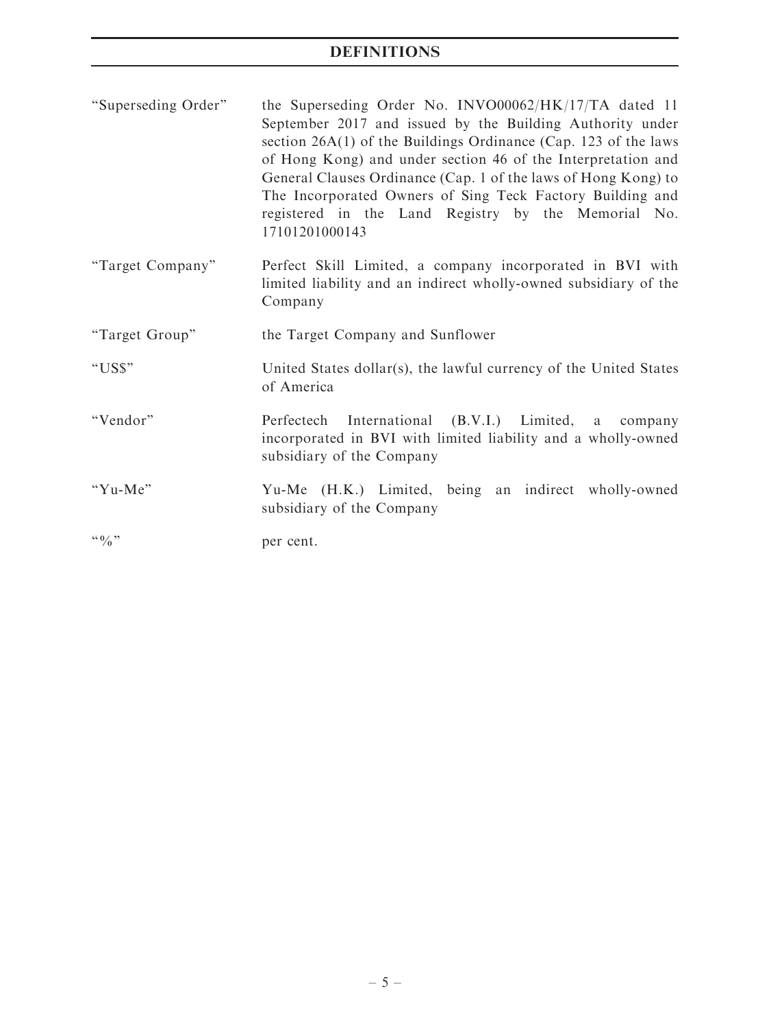| "Superseding Order" | the Superseding Order No. INVO00062/HK/17/TA dated 11             |
|---------------------|-------------------------------------------------------------------|
|                     | September 2017 and issued by the Building Authority under         |
|                     | section $26A(1)$ of the Buildings Ordinance (Cap. 123 of the laws |
|                     | of Hong Kong) and under section 46 of the Interpretation and      |
|                     | General Clauses Ordinance (Cap. 1 of the laws of Hong Kong) to    |
|                     | The Incorporated Owners of Sing Teck Factory Building and         |
|                     | registered in the Land Registry by the Memorial No.               |
|                     | 17101201000143                                                    |

- ''Target Company'' Perfect Skill Limited, a company incorporated in BVI with limited liability and an indirect wholly-owned subsidiary of the Company
- ''Target Group'' the Target Company and Sunflower
- ''US\$'' United States dollar(s), the lawful currency of the United States of America
- ''Vendor'' Perfectech International (B.V.I.) Limited, a company incorporated in BVI with limited liability and a wholly-owned subsidiary of the Company
- "Yu-Me" Yu-Me (H.K.) Limited, being an indirect wholly-owned subsidiary of the Company

" $\frac{1}{2}$ " per cent.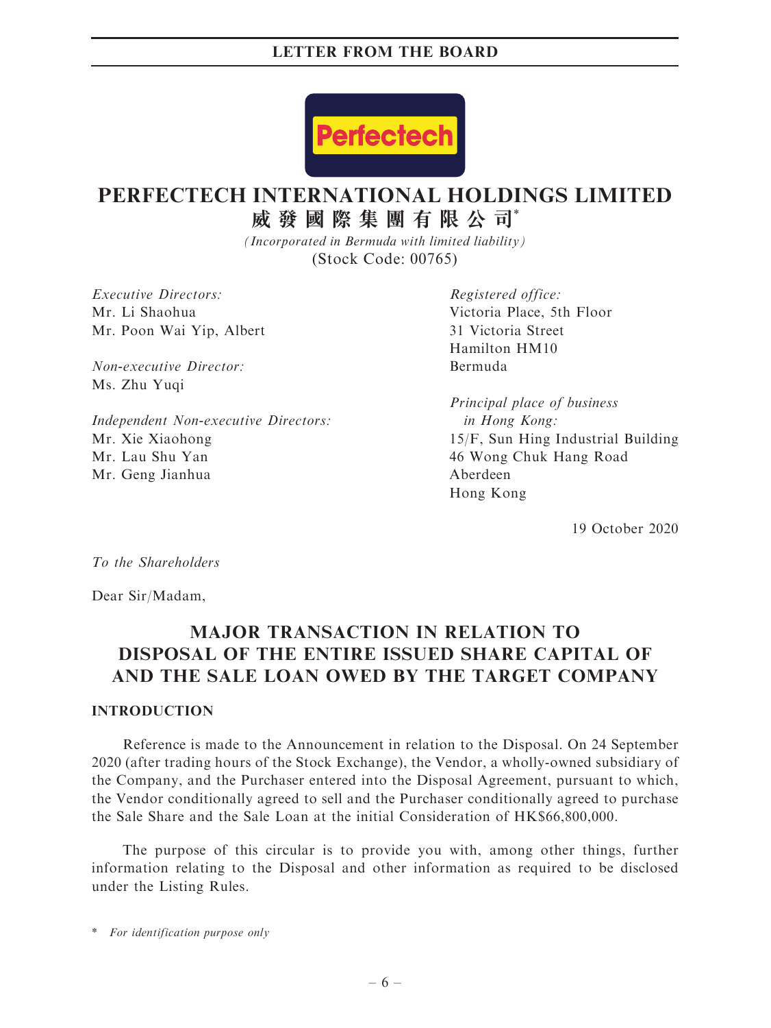

# **PERFECTECH INTERNATIONAL HOLDINGS LIMITED**

**威發國際集團有限公司**\*

*(Incorporated in Bermuda with limited liability)* (Stock Code: 00765)

Executive Directors: Mr. Li Shaohua Mr. Poon Wai Yip, Albert

Non-executive Director: Ms. Zhu Yuqi

Independent Non-executive Directors: Mr. Xie Xiaohong Mr. Lau Shu Yan Mr. Geng Jianhua

Registered office: Victoria Place, 5th Floor 31 Victoria Street Hamilton HM10 Bermuda

Principal place of business in Hong Kong: 15/F, Sun Hing Industrial Building 46 Wong Chuk Hang Road Aberdeen Hong Kong

19 October 2020

To the Shareholders

Dear Sir/Madam,

# MAJOR TRANSACTION IN RELATION TO DISPOSAL OF THE ENTIRE ISSUED SHARE CAPITAL OF AND THE SALE LOAN OWED BY THE TARGET COMPANY

### **INTRODUCTION**

Reference is made to the Announcement in relation to the Disposal. On 24 September 2020 (after trading hours of the Stock Exchange), the Vendor, a wholly-owned subsidiary of the Company, and the Purchaser entered into the Disposal Agreement, pursuant to which, the Vendor conditionally agreed to sell and the Purchaser conditionally agreed to purchase the Sale Share and the Sale Loan at the initial Consideration of HK\$66,800,000.

The purpose of this circular is to provide you with, among other things, further information relating to the Disposal and other information as required to be disclosed under the Listing Rules.

\* For identification purpose only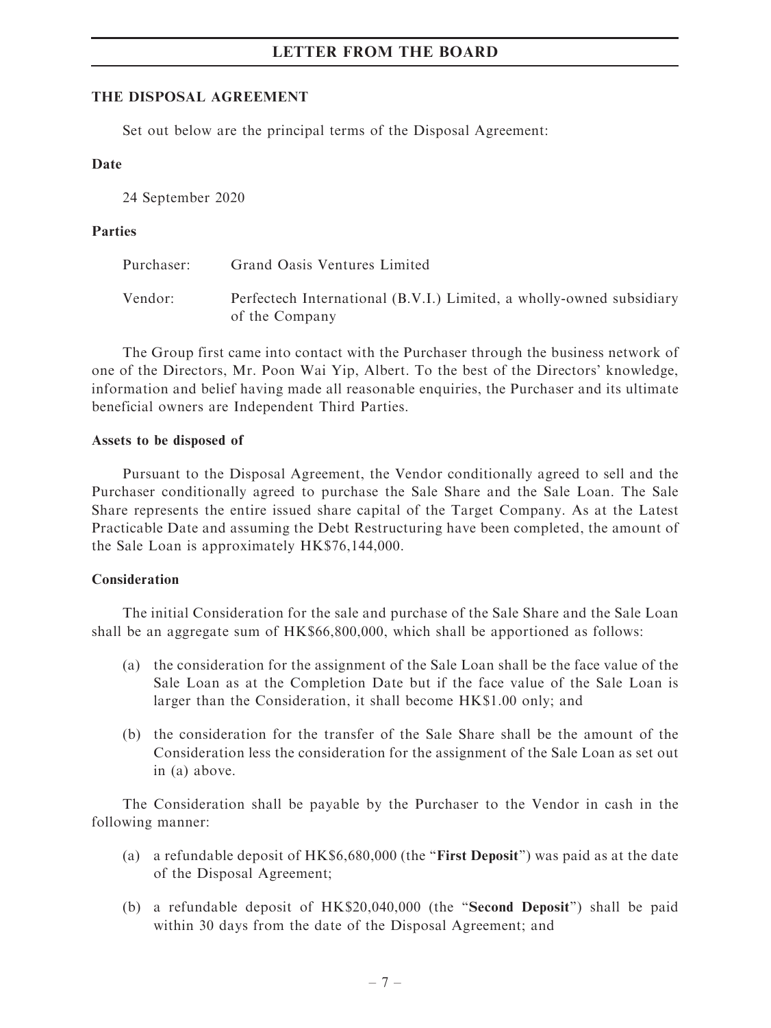# THE DISPOSAL AGREEMENT

Set out below are the principal terms of the Disposal Agreement:

# Date

24 September 2020

# Parties

| Purchaser: | Grand Oasis Ventures Limited                                                           |
|------------|----------------------------------------------------------------------------------------|
| Vendor:    | Perfectech International (B.V.I.) Limited, a wholly-owned subsidiary<br>of the Company |

The Group first came into contact with the Purchaser through the business network of one of the Directors, Mr. Poon Wai Yip, Albert. To the best of the Directors' knowledge, information and belief having made all reasonable enquiries, the Purchaser and its ultimate beneficial owners are Independent Third Parties.

# Assets to be disposed of

Pursuant to the Disposal Agreement, the Vendor conditionally agreed to sell and the Purchaser conditionally agreed to purchase the Sale Share and the Sale Loan. The Sale Share represents the entire issued share capital of the Target Company. As at the Latest Practicable Date and assuming the Debt Restructuring have been completed, the amount of the Sale Loan is approximately HK\$76,144,000.

# Consideration

The initial Consideration for the sale and purchase of the Sale Share and the Sale Loan shall be an aggregate sum of HK\$66,800,000, which shall be apportioned as follows:

- (a) the consideration for the assignment of the Sale Loan shall be the face value of the Sale Loan as at the Completion Date but if the face value of the Sale Loan is larger than the Consideration, it shall become HK\$1.00 only; and
- (b) the consideration for the transfer of the Sale Share shall be the amount of the Consideration less the consideration for the assignment of the Sale Loan as set out in (a) above.

The Consideration shall be payable by the Purchaser to the Vendor in cash in the following manner:

- (a) a refundable deposit of  $HK$6,680,000$  (the "**First Deposit**") was paid as at the date of the Disposal Agreement;
- (b) a refundable deposit of HK\$20,040,000 (the "Second Deposit") shall be paid within 30 days from the date of the Disposal Agreement; and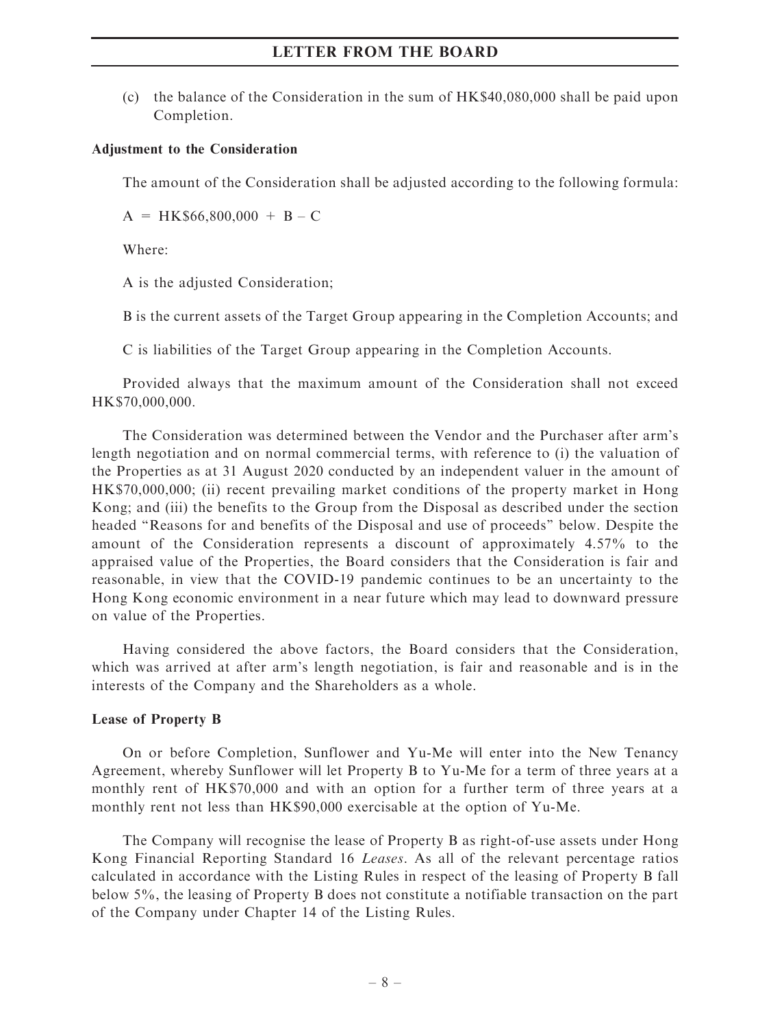(c) the balance of the Consideration in the sum of HK\$40,080,000 shall be paid upon Completion.

#### Adjustment to the Consideration

The amount of the Consideration shall be adjusted according to the following formula:

 $A = HK$66,800,000 + B - C$ 

Where:

A is the adjusted Consideration;

B is the current assets of the Target Group appearing in the Completion Accounts; and

C is liabilities of the Target Group appearing in the Completion Accounts.

Provided always that the maximum amount of the Consideration shall not exceed HK\$70,000,000.

The Consideration was determined between the Vendor and the Purchaser after arm's length negotiation and on normal commercial terms, with reference to (i) the valuation of the Properties as at 31 August 2020 conducted by an independent valuer in the amount of HK\$70,000,000; (ii) recent prevailing market conditions of the property market in Hong Kong; and (iii) the benefits to the Group from the Disposal as described under the section headed ''Reasons for and benefits of the Disposal and use of proceeds'' below. Despite the amount of the Consideration represents a discount of approximately 4.57% to the appraised value of the Properties, the Board considers that the Consideration is fair and reasonable, in view that the COVID-19 pandemic continues to be an uncertainty to the Hong Kong economic environment in a near future which may lead to downward pressure on value of the Properties.

Having considered the above factors, the Board considers that the Consideration, which was arrived at after arm's length negotiation, is fair and reasonable and is in the interests of the Company and the Shareholders as a whole.

#### Lease of Property B

On or before Completion, Sunflower and Yu-Me will enter into the New Tenancy Agreement, whereby Sunflower will let Property B to Yu-Me for a term of three years at a monthly rent of HK\$70,000 and with an option for a further term of three years at a monthly rent not less than HK\$90,000 exercisable at the option of Yu-Me.

The Company will recognise the lease of Property B as right-of-use assets under Hong Kong Financial Reporting Standard 16 Leases. As all of the relevant percentage ratios calculated in accordance with the Listing Rules in respect of the leasing of Property B fall below 5%, the leasing of Property B does not constitute a notifiable transaction on the part of the Company under Chapter 14 of the Listing Rules.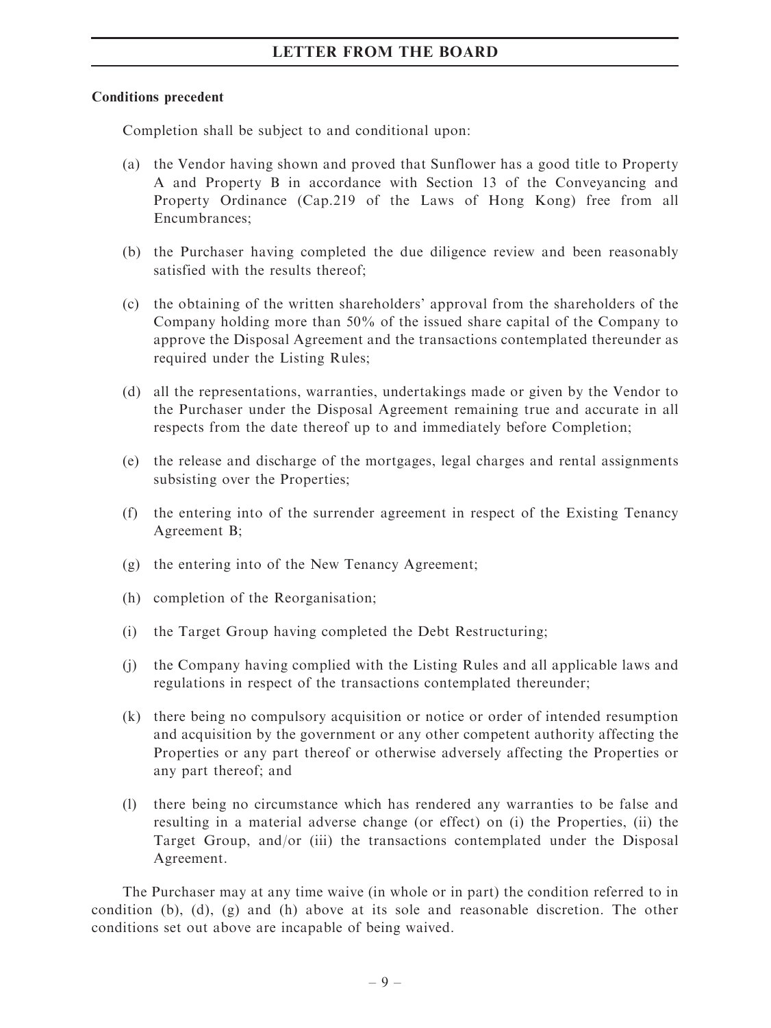# Conditions precedent

Completion shall be subject to and conditional upon:

- (a) the Vendor having shown and proved that Sunflower has a good title to Property A and Property B in accordance with Section 13 of the Conveyancing and Property Ordinance (Cap.219 of the Laws of Hong Kong) free from all Encumbrances;
- (b) the Purchaser having completed the due diligence review and been reasonably satisfied with the results thereof;
- (c) the obtaining of the written shareholders' approval from the shareholders of the Company holding more than 50% of the issued share capital of the Company to approve the Disposal Agreement and the transactions contemplated thereunder as required under the Listing Rules;
- (d) all the representations, warranties, undertakings made or given by the Vendor to the Purchaser under the Disposal Agreement remaining true and accurate in all respects from the date thereof up to and immediately before Completion;
- (e) the release and discharge of the mortgages, legal charges and rental assignments subsisting over the Properties;
- (f) the entering into of the surrender agreement in respect of the Existing Tenancy Agreement B;
- (g) the entering into of the New Tenancy Agreement;
- (h) completion of the Reorganisation;
- (i) the Target Group having completed the Debt Restructuring;
- (j) the Company having complied with the Listing Rules and all applicable laws and regulations in respect of the transactions contemplated thereunder;
- (k) there being no compulsory acquisition or notice or order of intended resumption and acquisition by the government or any other competent authority affecting the Properties or any part thereof or otherwise adversely affecting the Properties or any part thereof; and
- (l) there being no circumstance which has rendered any warranties to be false and resulting in a material adverse change (or effect) on (i) the Properties, (ii) the Target Group, and/or (iii) the transactions contemplated under the Disposal Agreement.

The Purchaser may at any time waive (in whole or in part) the condition referred to in condition (b), (d), (g) and (h) above at its sole and reasonable discretion. The other conditions set out above are incapable of being waived.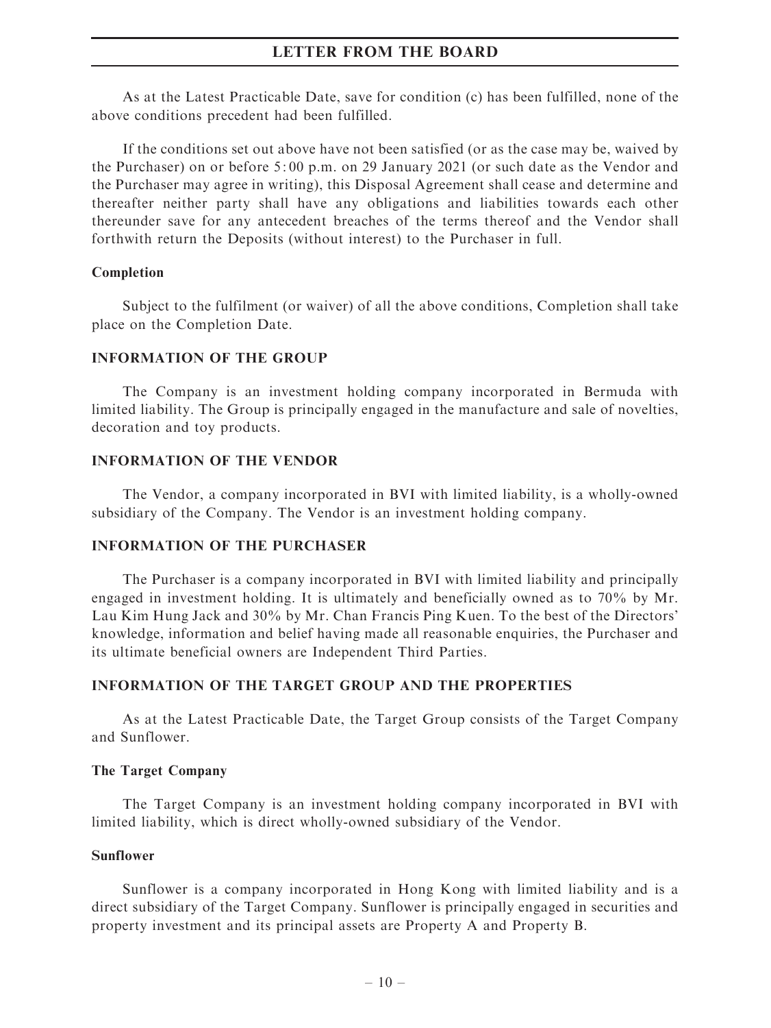As at the Latest Practicable Date, save for condition (c) has been fulfilled, none of the above conditions precedent had been fulfilled.

If the conditions set out above have not been satisfied (or as the case may be, waived by the Purchaser) on or before 5: 00 p.m. on 29 January 2021 (or such date as the Vendor and the Purchaser may agree in writing), this Disposal Agreement shall cease and determine and thereafter neither party shall have any obligations and liabilities towards each other thereunder save for any antecedent breaches of the terms thereof and the Vendor shall forthwith return the Deposits (without interest) to the Purchaser in full.

### Completion

Subject to the fulfilment (or waiver) of all the above conditions, Completion shall take place on the Completion Date.

### INFORMATION OF THE GROUP

The Company is an investment holding company incorporated in Bermuda with limited liability. The Group is principally engaged in the manufacture and sale of novelties, decoration and toy products.

#### INFORMATION OF THE VENDOR

The Vendor, a company incorporated in BVI with limited liability, is a wholly-owned subsidiary of the Company. The Vendor is an investment holding company.

# INFORMATION OF THE PURCHASER

The Purchaser is a company incorporated in BVI with limited liability and principally engaged in investment holding. It is ultimately and beneficially owned as to 70% by Mr. Lau Kim Hung Jack and 30% by Mr. Chan Francis Ping Kuen. To the best of the Directors' knowledge, information and belief having made all reasonable enquiries, the Purchaser and its ultimate beneficial owners are Independent Third Parties.

### INFORMATION OF THE TARGET GROUP AND THE PROPERTIES

As at the Latest Practicable Date, the Target Group consists of the Target Company and Sunflower.

#### The Target Company

The Target Company is an investment holding company incorporated in BVI with limited liability, which is direct wholly-owned subsidiary of the Vendor.

### Sunflower

Sunflower is a company incorporated in Hong Kong with limited liability and is a direct subsidiary of the Target Company. Sunflower is principally engaged in securities and property investment and its principal assets are Property A and Property B.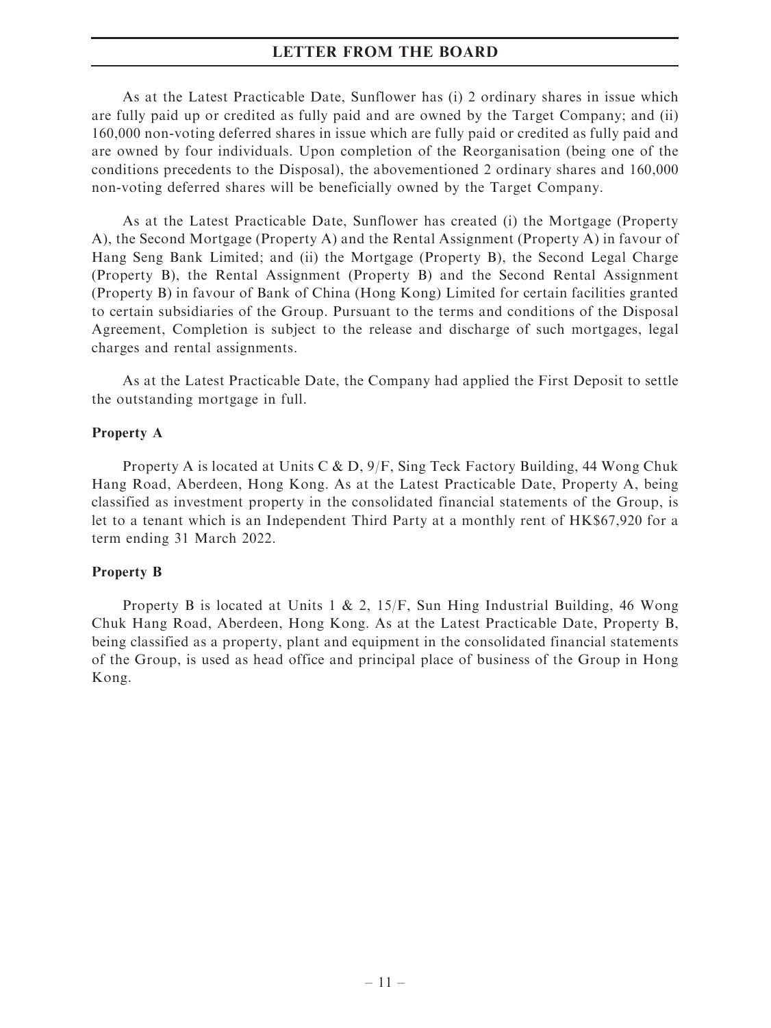As at the Latest Practicable Date, Sunflower has (i) 2 ordinary shares in issue which are fully paid up or credited as fully paid and are owned by the Target Company; and (ii) 160,000 non-voting deferred shares in issue which are fully paid or credited as fully paid and are owned by four individuals. Upon completion of the Reorganisation (being one of the conditions precedents to the Disposal), the abovementioned 2 ordinary shares and 160,000 non-voting deferred shares will be beneficially owned by the Target Company.

As at the Latest Practicable Date, Sunflower has created (i) the Mortgage (Property A), the Second Mortgage (Property A) and the Rental Assignment (Property A) in favour of Hang Seng Bank Limited; and (ii) the Mortgage (Property B), the Second Legal Charge (Property B), the Rental Assignment (Property B) and the Second Rental Assignment (Property B) in favour of Bank of China (Hong Kong) Limited for certain facilities granted to certain subsidiaries of the Group. Pursuant to the terms and conditions of the Disposal Agreement, Completion is subject to the release and discharge of such mortgages, legal charges and rental assignments.

As at the Latest Practicable Date, the Company had applied the First Deposit to settle the outstanding mortgage in full.

#### Property A

Property A is located at Units C & D, 9/F, Sing Teck Factory Building, 44 Wong Chuk Hang Road, Aberdeen, Hong Kong. As at the Latest Practicable Date, Property A, being classified as investment property in the consolidated financial statements of the Group, is let to a tenant which is an Independent Third Party at a monthly rent of HK\$67,920 for a term ending 31 March 2022.

### Property B

Property B is located at Units 1 & 2, 15/F, Sun Hing Industrial Building, 46 Wong Chuk Hang Road, Aberdeen, Hong Kong. As at the Latest Practicable Date, Property B, being classified as a property, plant and equipment in the consolidated financial statements of the Group, is used as head office and principal place of business of the Group in Hong Kong.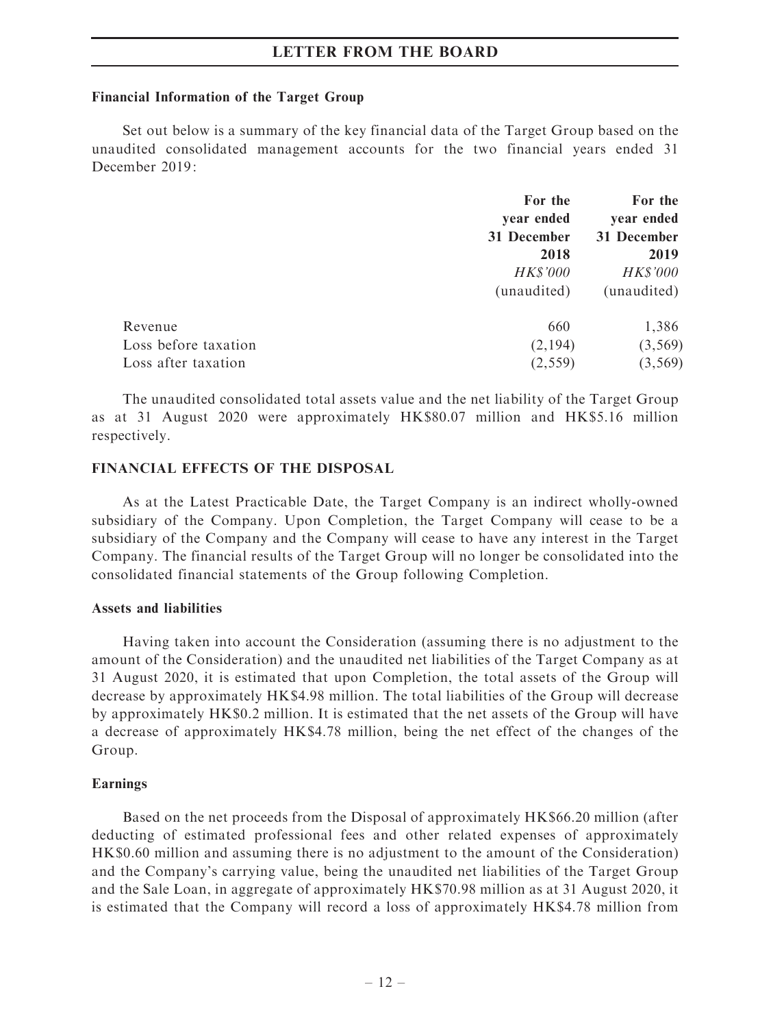#### Financial Information of the Target Group

Set out below is a summary of the key financial data of the Target Group based on the unaudited consolidated management accounts for the two financial years ended 31 December 2019:

|                      | For the         | For the         |  |
|----------------------|-----------------|-----------------|--|
|                      | year ended      | year ended      |  |
|                      | 31 December     | 31 December     |  |
|                      | 2018            | 2019            |  |
|                      | <b>HK\$'000</b> | <b>HK\$'000</b> |  |
|                      | (unaudited)     | (unaudited)     |  |
| Revenue              | 660             | 1,386           |  |
| Loss before taxation | (2,194)         | (3, 569)        |  |
| Loss after taxation  | (2, 559)        | (3, 569)        |  |
|                      |                 |                 |  |

The unaudited consolidated total assets value and the net liability of the Target Group as at 31 August 2020 were approximately HK\$80.07 million and HK\$5.16 million respectively.

### FINANCIAL EFFECTS OF THE DISPOSAL

As at the Latest Practicable Date, the Target Company is an indirect wholly-owned subsidiary of the Company. Upon Completion, the Target Company will cease to be a subsidiary of the Company and the Company will cease to have any interest in the Target Company. The financial results of the Target Group will no longer be consolidated into the consolidated financial statements of the Group following Completion.

#### Assets and liabilities

Having taken into account the Consideration (assuming there is no adjustment to the amount of the Consideration) and the unaudited net liabilities of the Target Company as at 31 August 2020, it is estimated that upon Completion, the total assets of the Group will decrease by approximately HK\$4.98 million. The total liabilities of the Group will decrease by approximately HK\$0.2 million. It is estimated that the net assets of the Group will have a decrease of approximately HK\$4.78 million, being the net effect of the changes of the Group.

#### Earnings

Based on the net proceeds from the Disposal of approximately HK\$66.20 million (after deducting of estimated professional fees and other related expenses of approximately HK\$0.60 million and assuming there is no adjustment to the amount of the Consideration) and the Company's carrying value, being the unaudited net liabilities of the Target Group and the Sale Loan, in aggregate of approximately HK\$70.98 million as at 31 August 2020, it is estimated that the Company will record a loss of approximately HK\$4.78 million from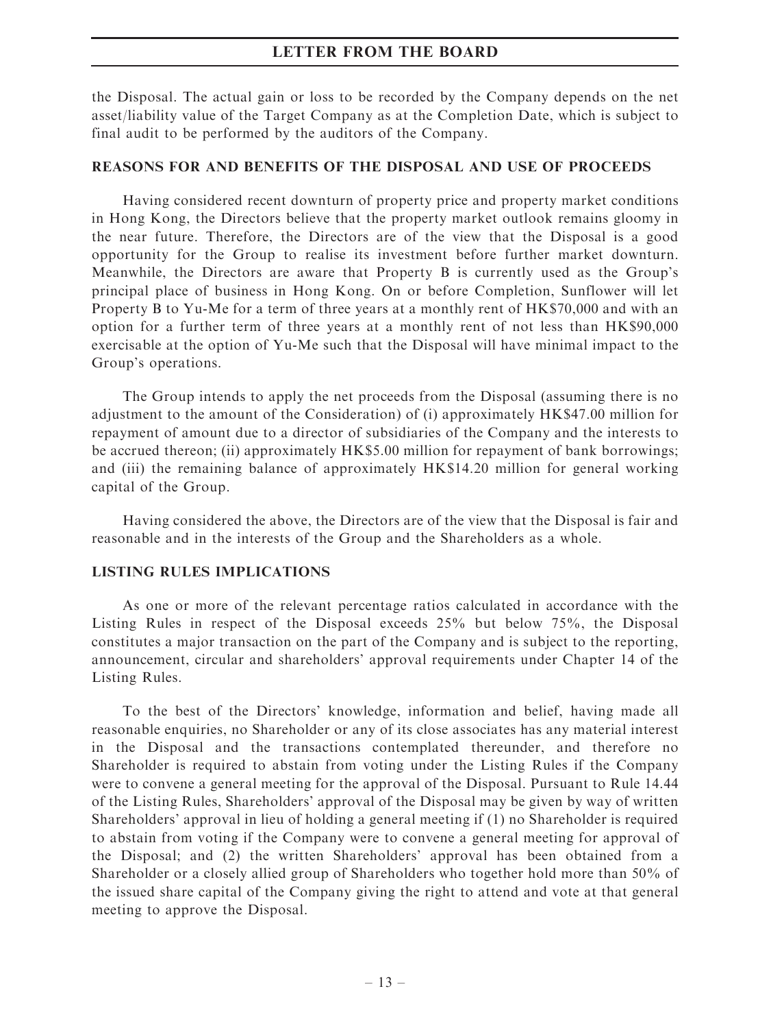the Disposal. The actual gain or loss to be recorded by the Company depends on the net asset/liability value of the Target Company as at the Completion Date, which is subject to final audit to be performed by the auditors of the Company.

# REASONS FOR AND BENEFITS OF THE DISPOSAL AND USE OF PROCEEDS

Having considered recent downturn of property price and property market conditions in Hong Kong, the Directors believe that the property market outlook remains gloomy in the near future. Therefore, the Directors are of the view that the Disposal is a good opportunity for the Group to realise its investment before further market downturn. Meanwhile, the Directors are aware that Property B is currently used as the Group's principal place of business in Hong Kong. On or before Completion, Sunflower will let Property B to Yu-Me for a term of three years at a monthly rent of HK\$70,000 and with an option for a further term of three years at a monthly rent of not less than HK\$90,000 exercisable at the option of Yu-Me such that the Disposal will have minimal impact to the Group's operations.

The Group intends to apply the net proceeds from the Disposal (assuming there is no adjustment to the amount of the Consideration) of (i) approximately HK\$47.00 million for repayment of amount due to a director of subsidiaries of the Company and the interests to be accrued thereon; (ii) approximately HK\$5.00 million for repayment of bank borrowings; and (iii) the remaining balance of approximately HK\$14.20 million for general working capital of the Group.

Having considered the above, the Directors are of the view that the Disposal is fair and reasonable and in the interests of the Group and the Shareholders as a whole.

# LISTING RULES IMPLICATIONS

As one or more of the relevant percentage ratios calculated in accordance with the Listing Rules in respect of the Disposal exceeds 25% but below 75%, the Disposal constitutes a major transaction on the part of the Company and is subject to the reporting, announcement, circular and shareholders' approval requirements under Chapter 14 of the Listing Rules.

To the best of the Directors' knowledge, information and belief, having made all reasonable enquiries, no Shareholder or any of its close associates has any material interest in the Disposal and the transactions contemplated thereunder, and therefore no Shareholder is required to abstain from voting under the Listing Rules if the Company were to convene a general meeting for the approval of the Disposal. Pursuant to Rule 14.44 of the Listing Rules, Shareholders' approval of the Disposal may be given by way of written Shareholders' approval in lieu of holding a general meeting if (1) no Shareholder is required to abstain from voting if the Company were to convene a general meeting for approval of the Disposal; and (2) the written Shareholders' approval has been obtained from a Shareholder or a closely allied group of Shareholders who together hold more than 50% of the issued share capital of the Company giving the right to attend and vote at that general meeting to approve the Disposal.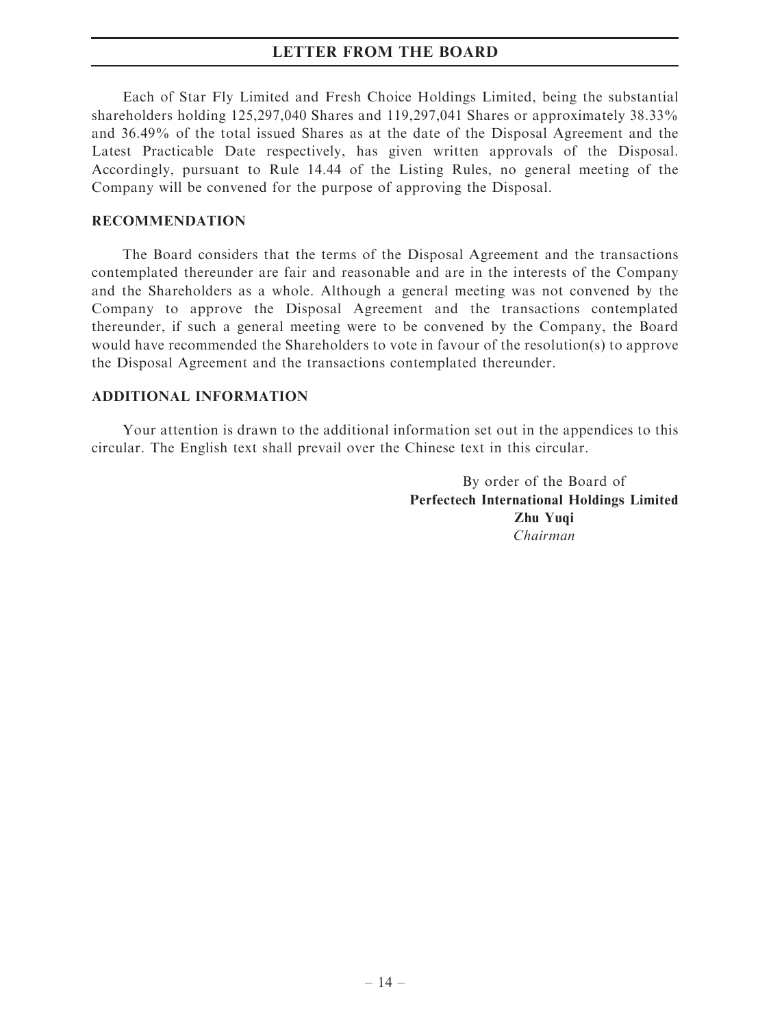Each of Star Fly Limited and Fresh Choice Holdings Limited, being the substantial shareholders holding 125,297,040 Shares and 119,297,041 Shares or approximately 38.33% and 36.49% of the total issued Shares as at the date of the Disposal Agreement and the Latest Practicable Date respectively, has given written approvals of the Disposal. Accordingly, pursuant to Rule 14.44 of the Listing Rules, no general meeting of the Company will be convened for the purpose of approving the Disposal.

### RECOMMENDATION

The Board considers that the terms of the Disposal Agreement and the transactions contemplated thereunder are fair and reasonable and are in the interests of the Company and the Shareholders as a whole. Although a general meeting was not convened by the Company to approve the Disposal Agreement and the transactions contemplated thereunder, if such a general meeting were to be convened by the Company, the Board would have recommended the Shareholders to vote in favour of the resolution(s) to approve the Disposal Agreement and the transactions contemplated thereunder.

# ADDITIONAL INFORMATION

Your attention is drawn to the additional information set out in the appendices to this circular. The English text shall prevail over the Chinese text in this circular.

> By order of the Board of Perfectech International Holdings Limited Zhu Yuqi Chairman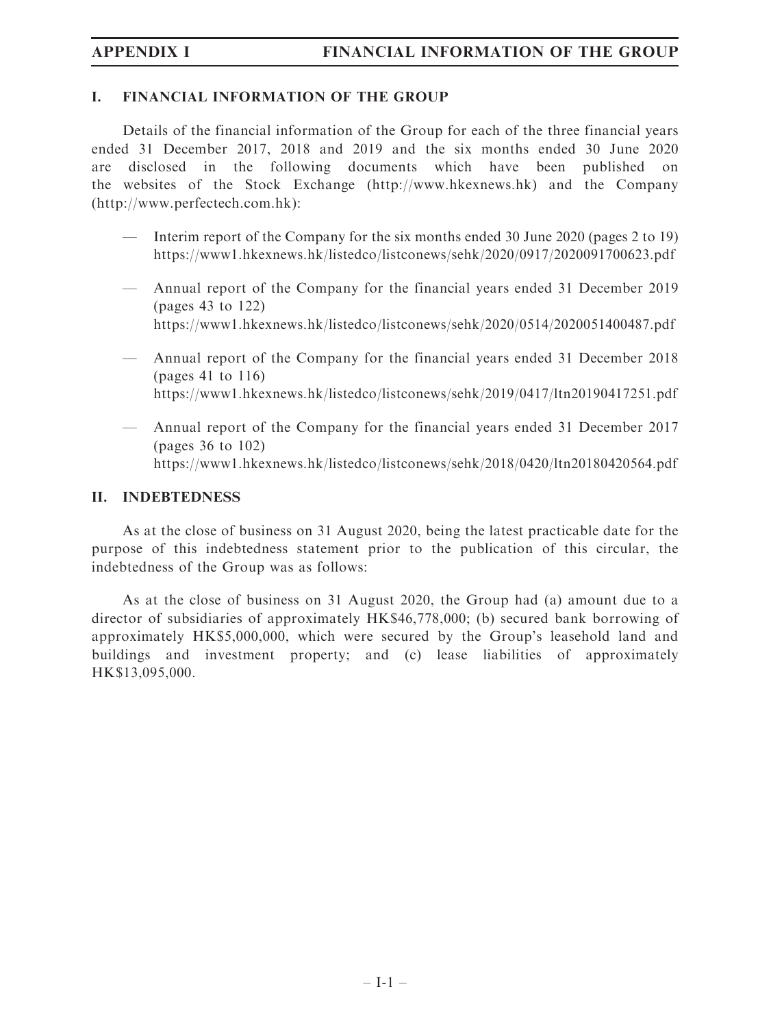# I. FINANCIAL INFORMATION OF THE GROUP

Details of the financial information of the Group for each of the three financial years ended 31 December 2017, 2018 and 2019 and the six months ended 30 June 2020 are disclosed in the following documents which have been published on the websites of the Stock Exchange (<http://www.hkexnews.hk>) and the Company (<http://www.perfectech.com.hk>):

- Interim report of the Company for the six months ended 30 June 2020 (pages 2 to 19) <https://www1.hkexnews.hk/listedco/listconews/sehk/2020/0917/2020091700623.pdf>
- Annual report of the Company for the financial years ended 31 December 2019 (pages 43 to 122) <https://www1.hkexnews.hk/listedco/listconews/sehk/2020/0514/2020051400487.pdf>
- Annual report of the Company for the financial years ended 31 December 2018 (pages 41 to 116) <https://www1.hkexnews.hk/listedco/listconews/sehk/2019/0417/ltn20190417251.pdf>
- Annual report of the Company for the financial years ended 31 December 2017 (pages 36 to 102) <https://www1.hkexnews.hk/listedco/listconews/sehk/2018/0420/ltn20180420564.pdf>

# II. INDEBTEDNESS

As at the close of business on 31 August 2020, being the latest practicable date for the purpose of this indebtedness statement prior to the publication of this circular, the indebtedness of the Group was as follows:

As at the close of business on 31 August 2020, the Group had (a) amount due to a director of subsidiaries of approximately HK\$46,778,000; (b) secured bank borrowing of approximately HK\$5,000,000, which were secured by the Group's leasehold land and buildings and investment property; and (c) lease liabilities of approximately HK\$13,095,000.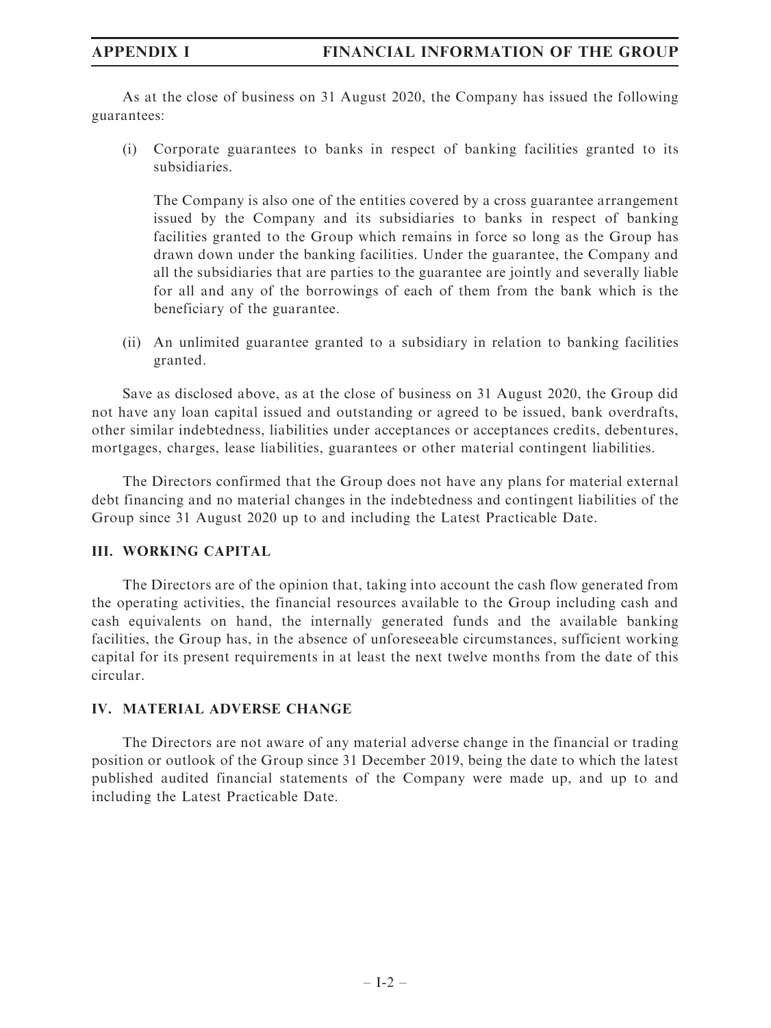As at the close of business on 31 August 2020, the Company has issued the following guarantees:

(i) Corporate guarantees to banks in respect of banking facilities granted to its subsidiaries.

The Company is also one of the entities covered by a cross guarantee arrangement issued by the Company and its subsidiaries to banks in respect of banking facilities granted to the Group which remains in force so long as the Group has drawn down under the banking facilities. Under the guarantee, the Company and all the subsidiaries that are parties to the guarantee are jointly and severally liable for all and any of the borrowings of each of them from the bank which is the beneficiary of the guarantee.

(ii) An unlimited guarantee granted to a subsidiary in relation to banking facilities granted.

Save as disclosed above, as at the close of business on 31 August 2020, the Group did not have any loan capital issued and outstanding or agreed to be issued, bank overdrafts, other similar indebtedness, liabilities under acceptances or acceptances credits, debentures, mortgages, charges, lease liabilities, guarantees or other material contingent liabilities.

The Directors confirmed that the Group does not have any plans for material external debt financing and no material changes in the indebtedness and contingent liabilities of the Group since 31 August 2020 up to and including the Latest Practicable Date.

# III. WORKING CAPITAL

The Directors are of the opinion that, taking into account the cash flow generated from the operating activities, the financial resources available to the Group including cash and cash equivalents on hand, the internally generated funds and the available banking facilities, the Group has, in the absence of unforeseeable circumstances, sufficient working capital for its present requirements in at least the next twelve months from the date of this circular.

# IV. MATERIAL ADVERSE CHANGE

The Directors are not aware of any material adverse change in the financial or trading position or outlook of the Group since 31 December 2019, being the date to which the latest published audited financial statements of the Company were made up, and up to and including the Latest Practicable Date.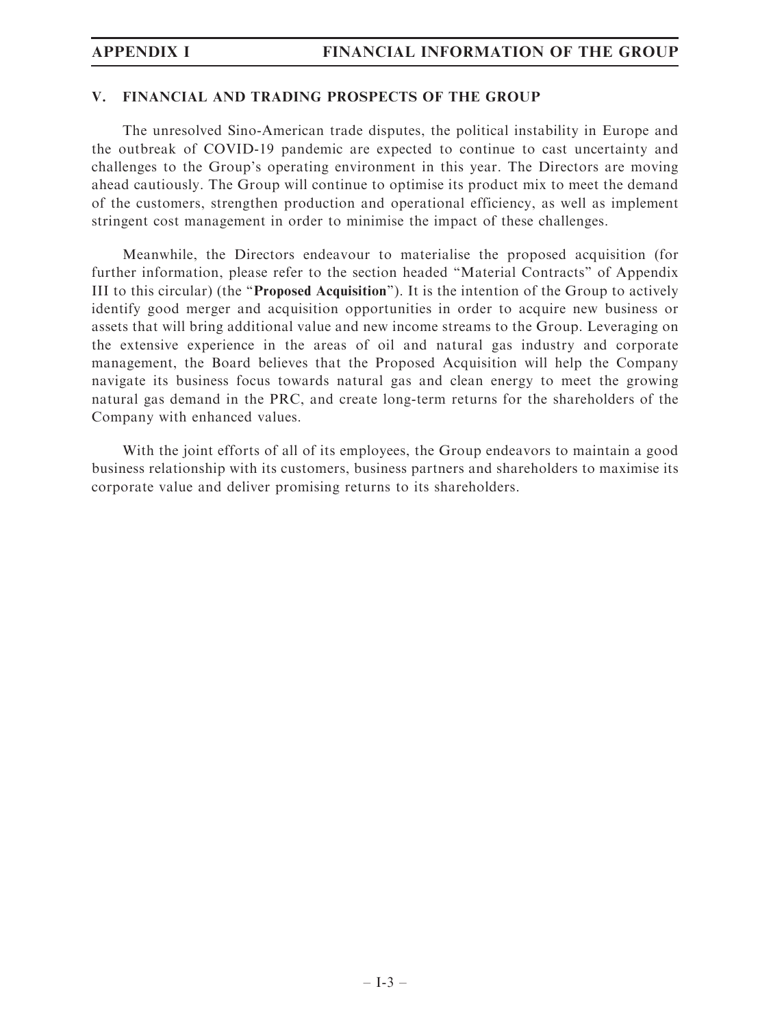# V. FINANCIAL AND TRADING PROSPECTS OF THE GROUP

The unresolved Sino-American trade disputes, the political instability in Europe and the outbreak of COVID-19 pandemic are expected to continue to cast uncertainty and challenges to the Group's operating environment in this year. The Directors are moving ahead cautiously. The Group will continue to optimise its product mix to meet the demand of the customers, strengthen production and operational efficiency, as well as implement stringent cost management in order to minimise the impact of these challenges.

Meanwhile, the Directors endeavour to materialise the proposed acquisition (for further information, please refer to the section headed ''Material Contracts'' of Appendix III to this circular) (the ''Proposed Acquisition''). It is the intention of the Group to actively identify good merger and acquisition opportunities in order to acquire new business or assets that will bring additional value and new income streams to the Group. Leveraging on the extensive experience in the areas of oil and natural gas industry and corporate management, the Board believes that the Proposed Acquisition will help the Company navigate its business focus towards natural gas and clean energy to meet the growing natural gas demand in the PRC, and create long-term returns for the shareholders of the Company with enhanced values.

With the joint efforts of all of its employees, the Group endeavors to maintain a good business relationship with its customers, business partners and shareholders to maximise its corporate value and deliver promising returns to its shareholders.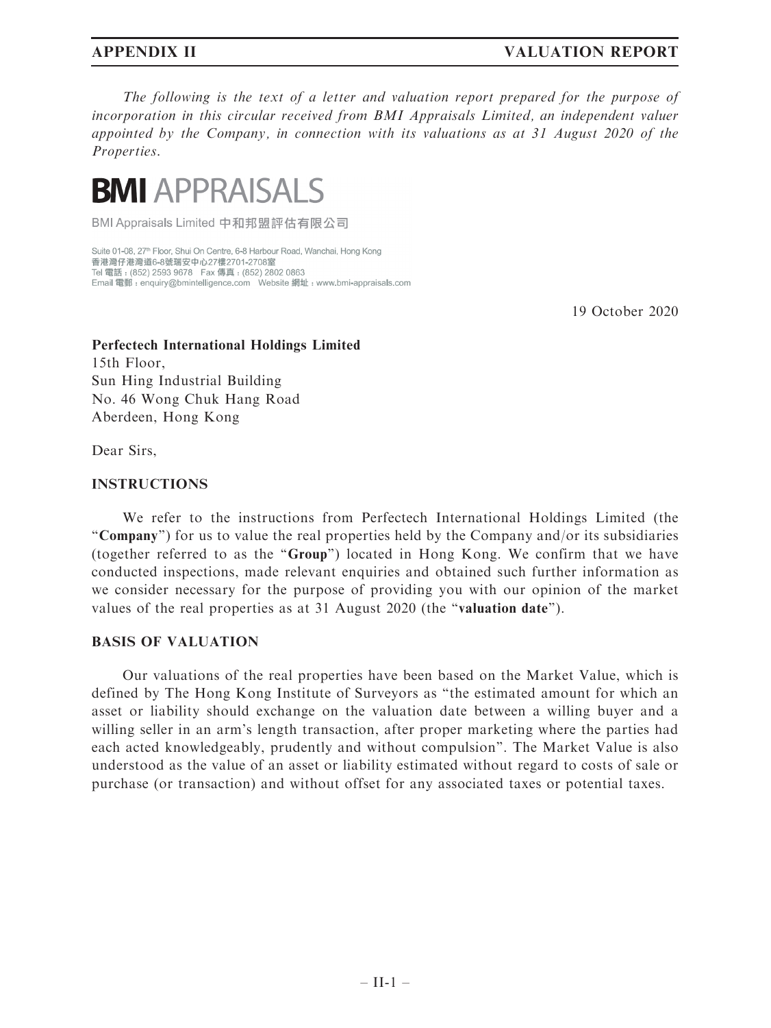# APPENDIX II VALUATION REPORT

The following is the text of a letter and valuation report prepared for the purpose of incorporation in this circular received from BMI Appraisals Limited, an independent valuer appointed by the Company, in connection with its valuations as at 31 August 2020 of the Properties.



BMI Appraisals Limited 中和邦盟評估有限公司

Suite 01-08, 27<sup>th</sup> Floor, Shui On Centre, 6-8 Harbour Road, Wanchai, Hong Kong 香港灣仔港灣道6-8號瑞安中心27樓2701-2708室 Tel 電話: (852) 2593 9678 Fax 傳真: (852) 2802 0863 Email 電郵: enquiry@bmintelligence.com Vebsite 網址: www.bmi-appraisals.com

19 October 2020

# Perfectech International Holdings Limited 15th Floor, Sun Hing Industrial Building No. 46 Wong Chuk Hang Road

Aberdeen, Hong Kong

Dear Sirs,

# INSTRUCTIONS

We refer to the instructions from Perfectech International Holdings Limited (the ''Company'') for us to value the real properties held by the Company and/or its subsidiaries (together referred to as the ''Group'') located in Hong Kong. We confirm that we have conducted inspections, made relevant enquiries and obtained such further information as we consider necessary for the purpose of providing you with our opinion of the market values of the real properties as at 31 August 2020 (the "valuation date").

### BASIS OF VALUATION

Our valuations of the real properties have been based on the Market Value, which is defined by The Hong Kong Institute of Surveyors as ''the estimated amount for which an asset or liability should exchange on the valuation date between a willing buyer and a willing seller in an arm's length transaction, after proper marketing where the parties had each acted knowledgeably, prudently and without compulsion''. The Market Value is also understood as the value of an asset or liability estimated without regard to costs of sale or purchase (or transaction) and without offset for any associated taxes or potential taxes.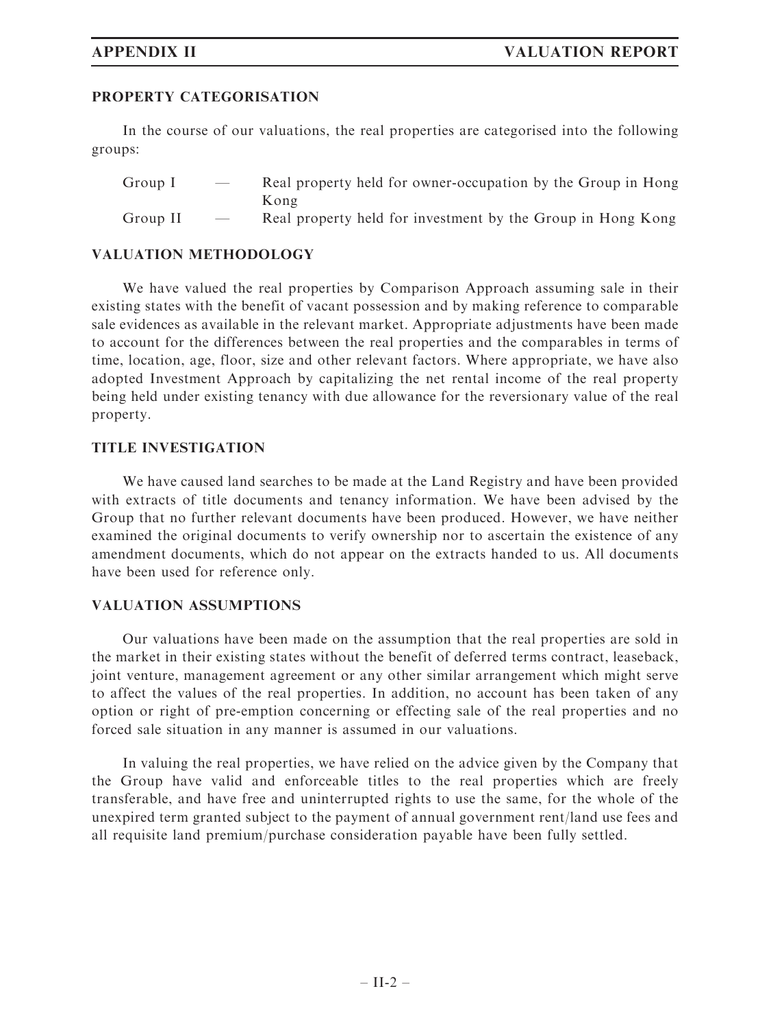# PROPERTY CATEGORISATION

In the course of our valuations, the real properties are categorised into the following groups:

- Group I Real property held for owner-occupation by the Group in Hong Kong
- Group II Real property held for investment by the Group in Hong Kong

# VALUATION METHODOLOGY

We have valued the real properties by Comparison Approach assuming sale in their existing states with the benefit of vacant possession and by making reference to comparable sale evidences as available in the relevant market. Appropriate adjustments have been made to account for the differences between the real properties and the comparables in terms of time, location, age, floor, size and other relevant factors. Where appropriate, we have also adopted Investment Approach by capitalizing the net rental income of the real property being held under existing tenancy with due allowance for the reversionary value of the real property.

# TITLE INVESTIGATION

We have caused land searches to be made at the Land Registry and have been provided with extracts of title documents and tenancy information. We have been advised by the Group that no further relevant documents have been produced. However, we have neither examined the original documents to verify ownership nor to ascertain the existence of any amendment documents, which do not appear on the extracts handed to us. All documents have been used for reference only.

# VALUATION ASSUMPTIONS

Our valuations have been made on the assumption that the real properties are sold in the market in their existing states without the benefit of deferred terms contract, leaseback, joint venture, management agreement or any other similar arrangement which might serve to affect the values of the real properties. In addition, no account has been taken of any option or right of pre-emption concerning or effecting sale of the real properties and no forced sale situation in any manner is assumed in our valuations.

In valuing the real properties, we have relied on the advice given by the Company that the Group have valid and enforceable titles to the real properties which are freely transferable, and have free and uninterrupted rights to use the same, for the whole of the unexpired term granted subject to the payment of annual government rent/land use fees and all requisite land premium/purchase consideration payable have been fully settled.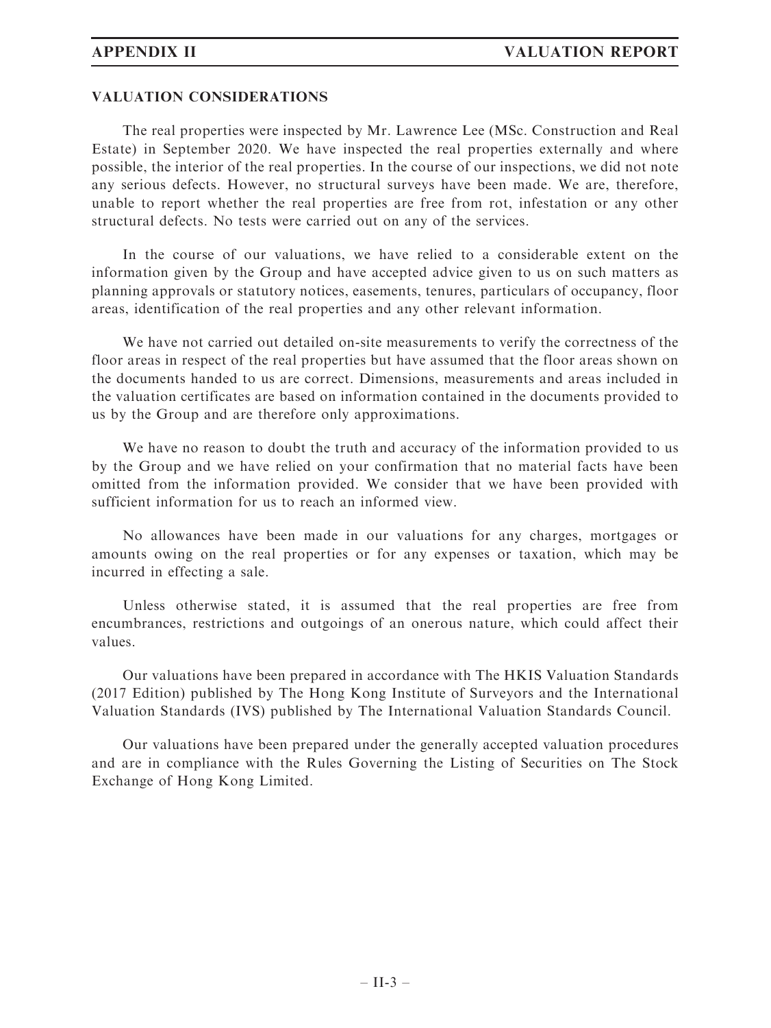#### VALUATION CONSIDERATIONS

The real properties were inspected by Mr. Lawrence Lee (MSc. Construction and Real Estate) in September 2020. We have inspected the real properties externally and where possible, the interior of the real properties. In the course of our inspections, we did not note any serious defects. However, no structural surveys have been made. We are, therefore, unable to report whether the real properties are free from rot, infestation or any other structural defects. No tests were carried out on any of the services.

In the course of our valuations, we have relied to a considerable extent on the information given by the Group and have accepted advice given to us on such matters as planning approvals or statutory notices, easements, tenures, particulars of occupancy, floor areas, identification of the real properties and any other relevant information.

We have not carried out detailed on-site measurements to verify the correctness of the floor areas in respect of the real properties but have assumed that the floor areas shown on the documents handed to us are correct. Dimensions, measurements and areas included in the valuation certificates are based on information contained in the documents provided to us by the Group and are therefore only approximations.

We have no reason to doubt the truth and accuracy of the information provided to us by the Group and we have relied on your confirmation that no material facts have been omitted from the information provided. We consider that we have been provided with sufficient information for us to reach an informed view.

No allowances have been made in our valuations for any charges, mortgages or amounts owing on the real properties or for any expenses or taxation, which may be incurred in effecting a sale.

Unless otherwise stated, it is assumed that the real properties are free from encumbrances, restrictions and outgoings of an onerous nature, which could affect their values.

Our valuations have been prepared in accordance with The HKIS Valuation Standards (2017 Edition) published by The Hong Kong Institute of Surveyors and the International Valuation Standards (IVS) published by The International Valuation Standards Council.

Our valuations have been prepared under the generally accepted valuation procedures and are in compliance with the Rules Governing the Listing of Securities on The Stock Exchange of Hong Kong Limited.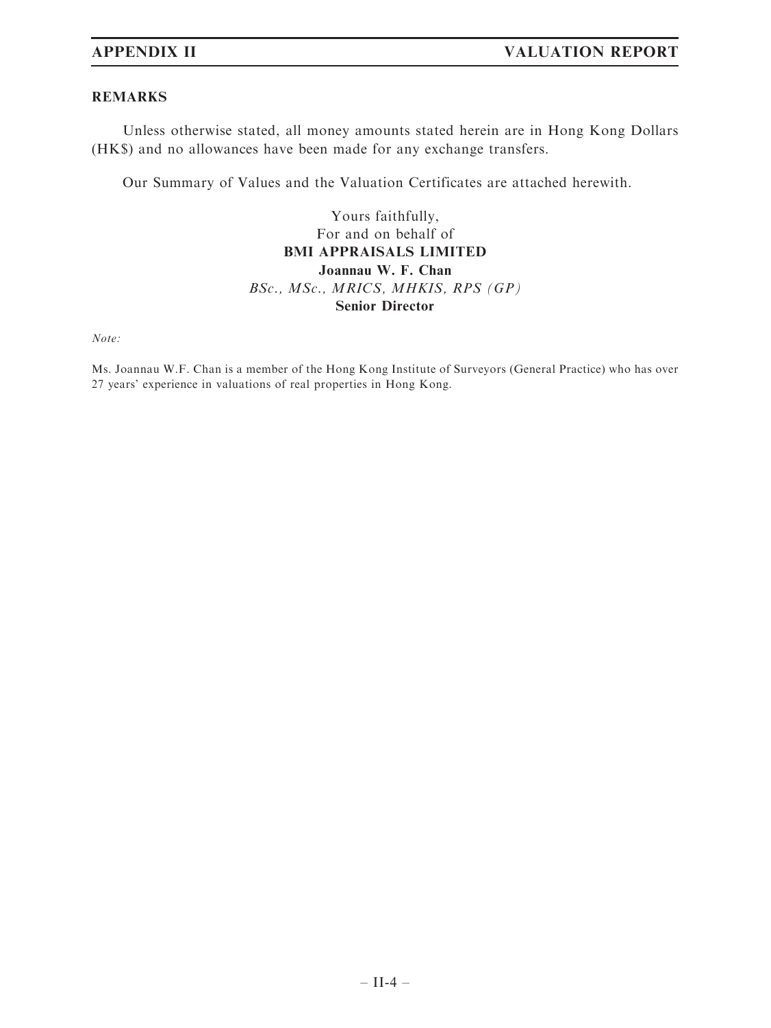### REMARKS

Unless otherwise stated, all money amounts stated herein are in Hong Kong Dollars (HK\$) and no allowances have been made for any exchange transfers.

Our Summary of Values and the Valuation Certificates are attached herewith.

Yours faithfully, For and on behalf of BMI APPRAISALS LIMITED Joannau W. F. Chan BSc., MSc., MRICS, MHKIS, RPS (GP) Senior Director

Note:

Ms. Joannau W.F. Chan is a member of the Hong Kong Institute of Surveyors (General Practice) who has over 27 years' experience in valuations of real properties in Hong Kong.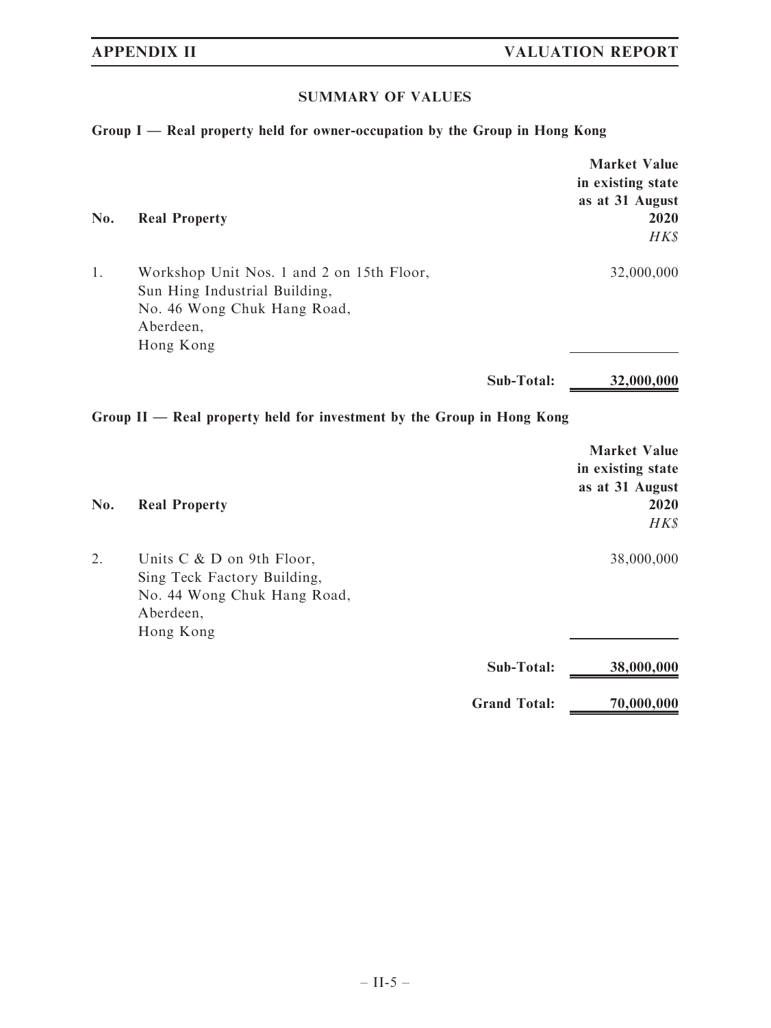# SUMMARY OF VALUES

# Group I — Real property held for owner-occupation by the Group in Hong Kong

| No. | <b>Real Property</b>                                                                                                                |                     | <b>Market Value</b><br>in existing state<br>as at 31 August<br>2020<br>HK\$ |
|-----|-------------------------------------------------------------------------------------------------------------------------------------|---------------------|-----------------------------------------------------------------------------|
| 1.  | Workshop Unit Nos. 1 and 2 on 15th Floor,<br>Sun Hing Industrial Building,<br>No. 46 Wong Chuk Hang Road,<br>Aberdeen,<br>Hong Kong |                     | 32,000,000                                                                  |
|     |                                                                                                                                     | Sub-Total:          | 32,000,000                                                                  |
|     | Group II - Real property held for investment by the Group in Hong Kong                                                              |                     |                                                                             |
| No. | <b>Real Property</b>                                                                                                                |                     | <b>Market Value</b><br>in existing state<br>as at 31 August<br>2020<br>HK\$ |
| 2.  | Units C & D on 9th Floor,<br>Sing Teck Factory Building,<br>No. 44 Wong Chuk Hang Road,<br>Aberdeen,<br>Hong Kong                   |                     | 38,000,000                                                                  |
|     |                                                                                                                                     | Sub-Total:          | 38,000,000                                                                  |
|     |                                                                                                                                     | <b>Grand Total:</b> | 70,000,000                                                                  |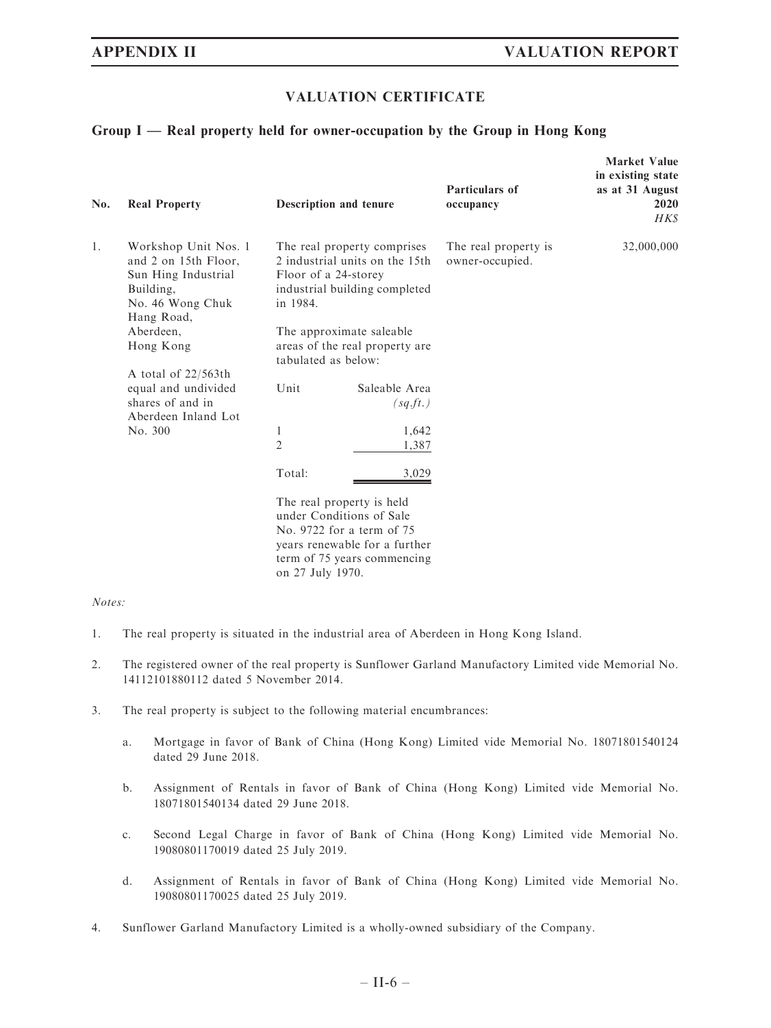#### VALUATION CERTIFICATE

#### Group I — Real property held for owner-occupation by the Group in Hong Kong

| No. | <b>Real Property</b>                                                                                                                         |                                                                                                                                                                                                                         | <b>Description and tenure</b>      | Particulars of<br>occupancy             | <b>Market Value</b><br>in existing state<br>as at 31 August<br>2020<br>HK\$ |
|-----|----------------------------------------------------------------------------------------------------------------------------------------------|-------------------------------------------------------------------------------------------------------------------------------------------------------------------------------------------------------------------------|------------------------------------|-----------------------------------------|-----------------------------------------------------------------------------|
| 1.  | Workshop Unit Nos. 1<br>and 2 on 15th Floor,<br>Sun Hing Industrial<br>Building,<br>No. 46 Wong Chuk<br>Hang Road,<br>Aberdeen.<br>Hong Kong | The real property comprises<br>2 industrial units on the 15th<br>Floor of a 24-storey<br>industrial building completed<br>in 1984.<br>The approximate saleable<br>areas of the real property are<br>tabulated as below: |                                    | The real property is<br>owner-occupied. | 32,000,000                                                                  |
|     | A total of $22/563$ th<br>equal and undivided<br>shares of and in<br>Aberdeen Inland Lot<br>No. 300                                          | Unit<br>1                                                                                                                                                                                                               | Saleable Area<br>(sq.ft.)<br>1,642 |                                         |                                                                             |
|     |                                                                                                                                              | $\overline{2}$<br>Total:                                                                                                                                                                                                | 1,387<br>3,029                     |                                         |                                                                             |
|     |                                                                                                                                              | The real property is held<br>under Conditions of Sale<br>No. 9722 for a term of 75<br>years renewable for a further<br>term of 75 years commencing<br>on 27 July 1970.                                                  |                                    |                                         |                                                                             |

#### Notes:

- 1. The real property is situated in the industrial area of Aberdeen in Hong Kong Island.
- 2. The registered owner of the real property is Sunflower Garland Manufactory Limited vide Memorial No. 14112101880112 dated 5 November 2014.
- 3. The real property is subject to the following material encumbrances:
	- a. Mortgage in favor of Bank of China (Hong Kong) Limited vide Memorial No. 18071801540124 dated 29 June 2018.
	- b. Assignment of Rentals in favor of Bank of China (Hong Kong) Limited vide Memorial No. 18071801540134 dated 29 June 2018.
	- c. Second Legal Charge in favor of Bank of China (Hong Kong) Limited vide Memorial No. 19080801170019 dated 25 July 2019.
	- d. Assignment of Rentals in favor of Bank of China (Hong Kong) Limited vide Memorial No. 19080801170025 dated 25 July 2019.
- 4. Sunflower Garland Manufactory Limited is a wholly-owned subsidiary of the Company.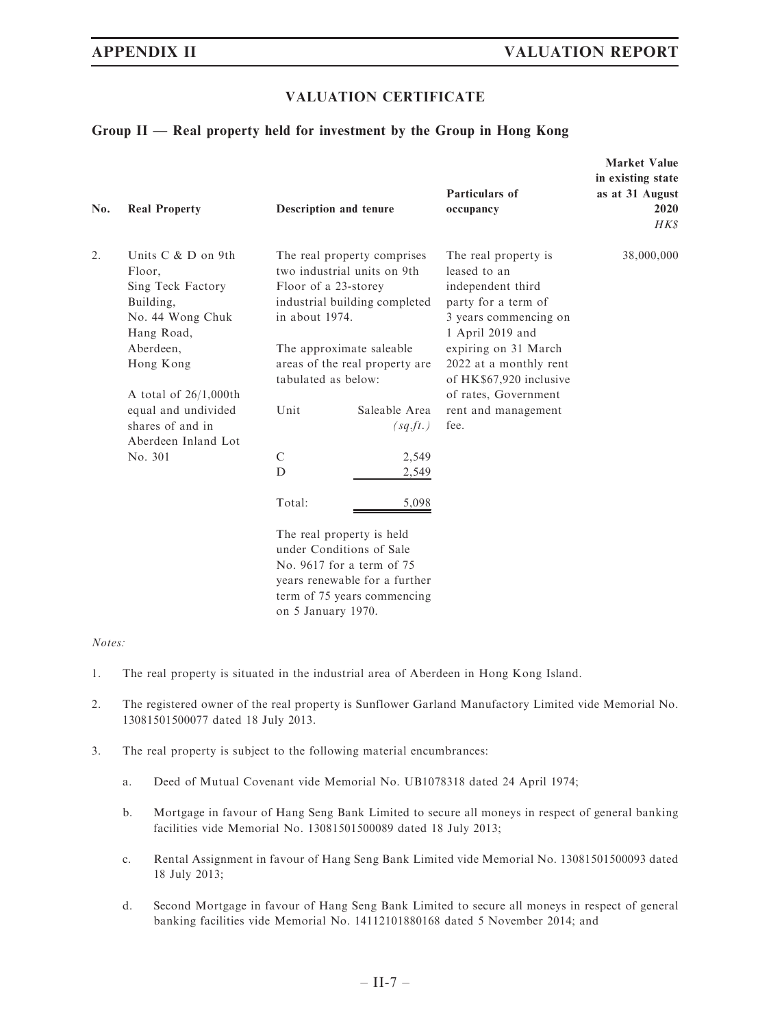#### VALUATION CERTIFICATE

#### Group II — Real property held for investment by the Group in Hong Kong

| No. | <b>Real Property</b>                                                                                                                                                                                                     |                                                                                                                                                                                                                                                                 | Description and tenure                                                                                                                                                        | Particulars of<br>occupancy                                                                                                                                                                                                                                       | <b>Market Value</b><br>in existing state<br>as at 31 August<br>2020<br>HK\$ |
|-----|--------------------------------------------------------------------------------------------------------------------------------------------------------------------------------------------------------------------------|-----------------------------------------------------------------------------------------------------------------------------------------------------------------------------------------------------------------------------------------------------------------|-------------------------------------------------------------------------------------------------------------------------------------------------------------------------------|-------------------------------------------------------------------------------------------------------------------------------------------------------------------------------------------------------------------------------------------------------------------|-----------------------------------------------------------------------------|
| 2.  | Units C & D on 9th<br>Floor,<br>Sing Teck Factory<br>Building,<br>No. 44 Wong Chuk<br>Hang Road,<br>Aberdeen,<br>Hong Kong<br>A total of $26/1,000$ th<br>equal and undivided<br>shares of and in<br>Aberdeen Inland Lot | The real property comprises<br>two industrial units on 9th<br>Floor of a 23-storey<br>industrial building completed<br>in about 1974.<br>The approximate saleable<br>areas of the real property are<br>tabulated as below:<br>Unit<br>Saleable Area<br>(sq.ft.) |                                                                                                                                                                               | The real property is<br>leased to an<br>independent third<br>party for a term of<br>3 years commencing on<br>1 April 2019 and<br>expiring on 31 March<br>2022 at a monthly rent<br>of HK\$67,920 inclusive<br>of rates, Government<br>rent and management<br>fee. | 38,000,000                                                                  |
|     | No. 301                                                                                                                                                                                                                  | $\mathcal{C}$<br>D<br>Total:<br>on 5 January 1970.                                                                                                                                                                                                              | 2,549<br>2,549<br>5,098<br>The real property is held<br>under Conditions of Sale<br>No. 9617 for a term of 75<br>years renewable for a further<br>term of 75 years commencing |                                                                                                                                                                                                                                                                   |                                                                             |

#### Notes:

- 1. The real property is situated in the industrial area of Aberdeen in Hong Kong Island.
- 2. The registered owner of the real property is Sunflower Garland Manufactory Limited vide Memorial No. 13081501500077 dated 18 July 2013.
- 3. The real property is subject to the following material encumbrances:
	- a. Deed of Mutual Covenant vide Memorial No. UB1078318 dated 24 April 1974;
	- b. Mortgage in favour of Hang Seng Bank Limited to secure all moneys in respect of general banking facilities vide Memorial No. 13081501500089 dated 18 July 2013;
	- c. Rental Assignment in favour of Hang Seng Bank Limited vide Memorial No. 13081501500093 dated 18 July 2013;
	- d. Second Mortgage in favour of Hang Seng Bank Limited to secure all moneys in respect of general banking facilities vide Memorial No. 14112101880168 dated 5 November 2014; and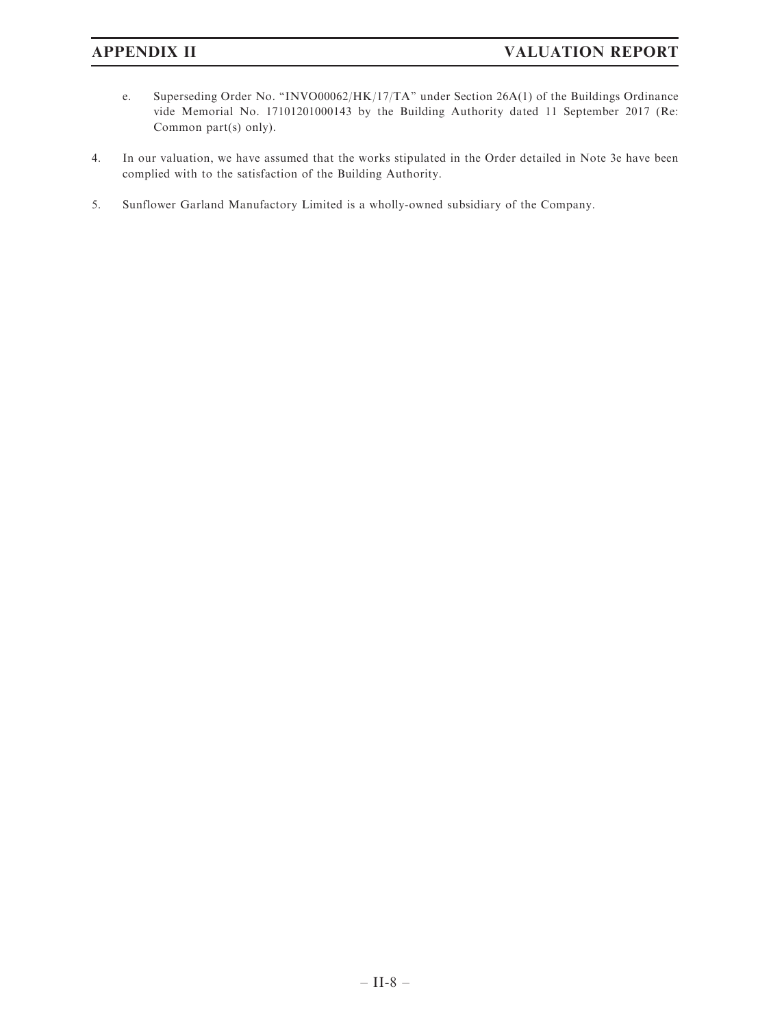- e. Superseding Order No. ''INVO00062/HK/17/TA'' under Section 26A(1) of the Buildings Ordinance vide Memorial No. 17101201000143 by the Building Authority dated 11 September 2017 (Re: Common part(s) only).
- 4. In our valuation, we have assumed that the works stipulated in the Order detailed in Note 3e have been complied with to the satisfaction of the Building Authority.
- 5. Sunflower Garland Manufactory Limited is a wholly-owned subsidiary of the Company.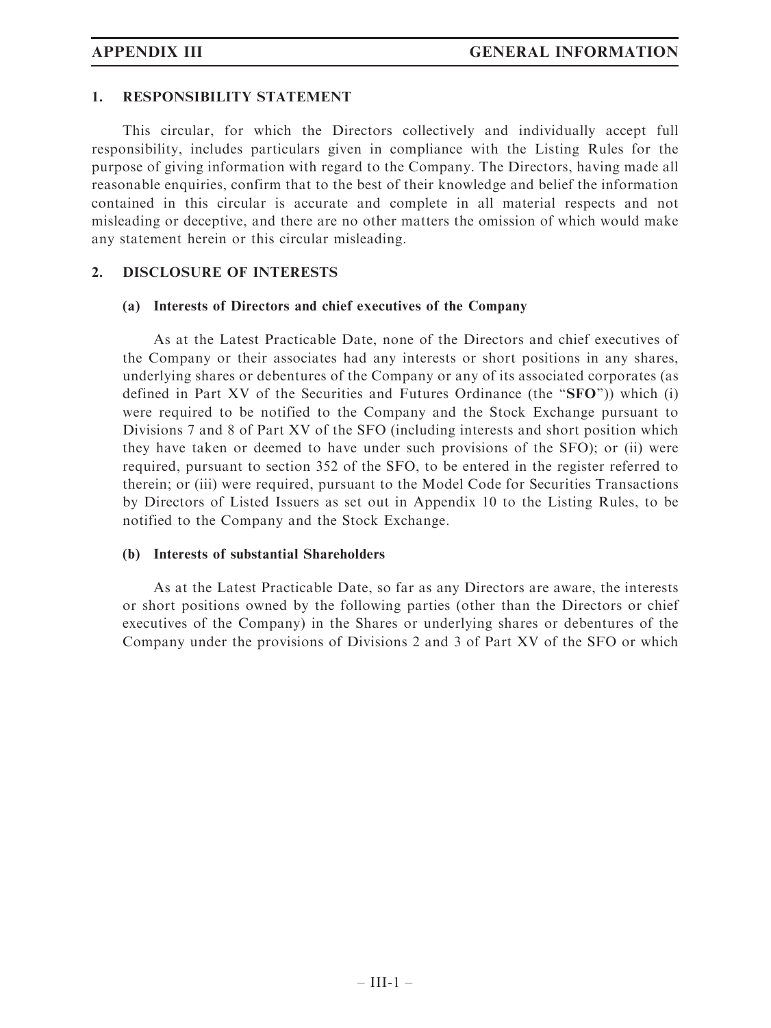### 1. RESPONSIBILITY STATEMENT

This circular, for which the Directors collectively and individually accept full responsibility, includes particulars given in compliance with the Listing Rules for the purpose of giving information with regard to the Company. The Directors, having made all reasonable enquiries, confirm that to the best of their knowledge and belief the information contained in this circular is accurate and complete in all material respects and not misleading or deceptive, and there are no other matters the omission of which would make any statement herein or this circular misleading.

#### 2. DISCLOSURE OF INTERESTS

#### (a) Interests of Directors and chief executives of the Company

As at the Latest Practicable Date, none of the Directors and chief executives of the Company or their associates had any interests or short positions in any shares, underlying shares or debentures of the Company or any of its associated corporates (as defined in Part XV of the Securities and Futures Ordinance (the " $SFO$ ")) which (i) were required to be notified to the Company and the Stock Exchange pursuant to Divisions 7 and 8 of Part XV of the SFO (including interests and short position which they have taken or deemed to have under such provisions of the SFO); or (ii) were required, pursuant to section 352 of the SFO, to be entered in the register referred to therein; or (iii) were required, pursuant to the Model Code for Securities Transactions by Directors of Listed Issuers as set out in Appendix 10 to the Listing Rules, to be notified to the Company and the Stock Exchange.

#### (b) Interests of substantial Shareholders

As at the Latest Practicable Date, so far as any Directors are aware, the interests or short positions owned by the following parties (other than the Directors or chief executives of the Company) in the Shares or underlying shares or debentures of the Company under the provisions of Divisions 2 and 3 of Part XV of the SFO or which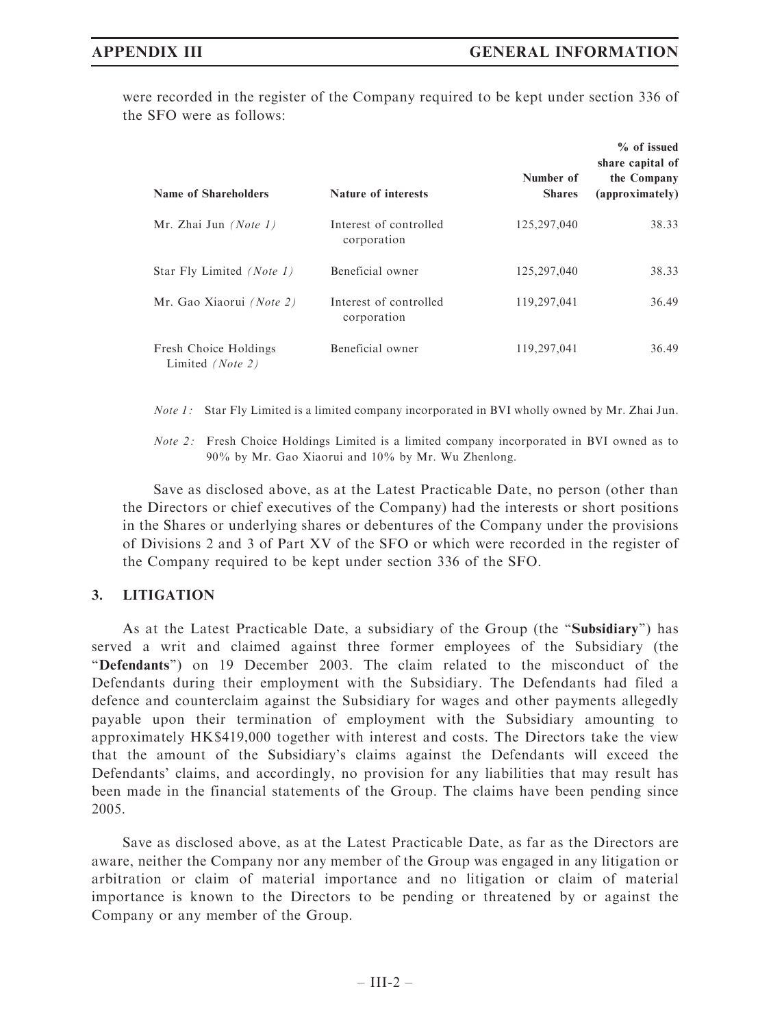were recorded in the register of the Company required to be kept under section 336 of the SFO were as follows:

| Name of Shareholders                      | Nature of interests                   | Number of<br><b>Shares</b> | % of issued<br>share capital of<br>the Company<br>(approximately) |
|-------------------------------------------|---------------------------------------|----------------------------|-------------------------------------------------------------------|
| Mr. Zhai Jun $(Note 1)$                   | Interest of controlled<br>corporation | 125,297,040                | 38.33                                                             |
| Star Fly Limited <i>(Note 1)</i>          | Beneficial owner                      | 125,297,040                | 38.33                                                             |
| Mr. Gao Xiaorui (Note 2)                  | Interest of controlled<br>corporation | 119,297,041                | 36.49                                                             |
| Fresh Choice Holdings<br>Limited (Note 2) | Beneficial owner                      | 119,297,041                | 36.49                                                             |

*Note 1*: Star Fly Limited is a limited company incorporated in BVI wholly owned by Mr. Zhai Jun.

Note 2: Fresh Choice Holdings Limited is a limited company incorporated in BVI owned as to 90% by Mr. Gao Xiaorui and 10% by Mr. Wu Zhenlong.

Save as disclosed above, as at the Latest Practicable Date, no person (other than the Directors or chief executives of the Company) had the interests or short positions in the Shares or underlying shares or debentures of the Company under the provisions of Divisions 2 and 3 of Part XV of the SFO or which were recorded in the register of the Company required to be kept under section 336 of the SFO.

# 3. LITIGATION

As at the Latest Practicable Date, a subsidiary of the Group (the ''Subsidiary'') has served a writ and claimed against three former employees of the Subsidiary (the ''Defendants'') on 19 December 2003. The claim related to the misconduct of the Defendants during their employment with the Subsidiary. The Defendants had filed a defence and counterclaim against the Subsidiary for wages and other payments allegedly payable upon their termination of employment with the Subsidiary amounting to approximately HK\$419,000 together with interest and costs. The Directors take the view that the amount of the Subsidiary's claims against the Defendants will exceed the Defendants' claims, and accordingly, no provision for any liabilities that may result has been made in the financial statements of the Group. The claims have been pending since 2005.

Save as disclosed above, as at the Latest Practicable Date, as far as the Directors are aware, neither the Company nor any member of the Group was engaged in any litigation or arbitration or claim of material importance and no litigation or claim of material importance is known to the Directors to be pending or threatened by or against the Company or any member of the Group.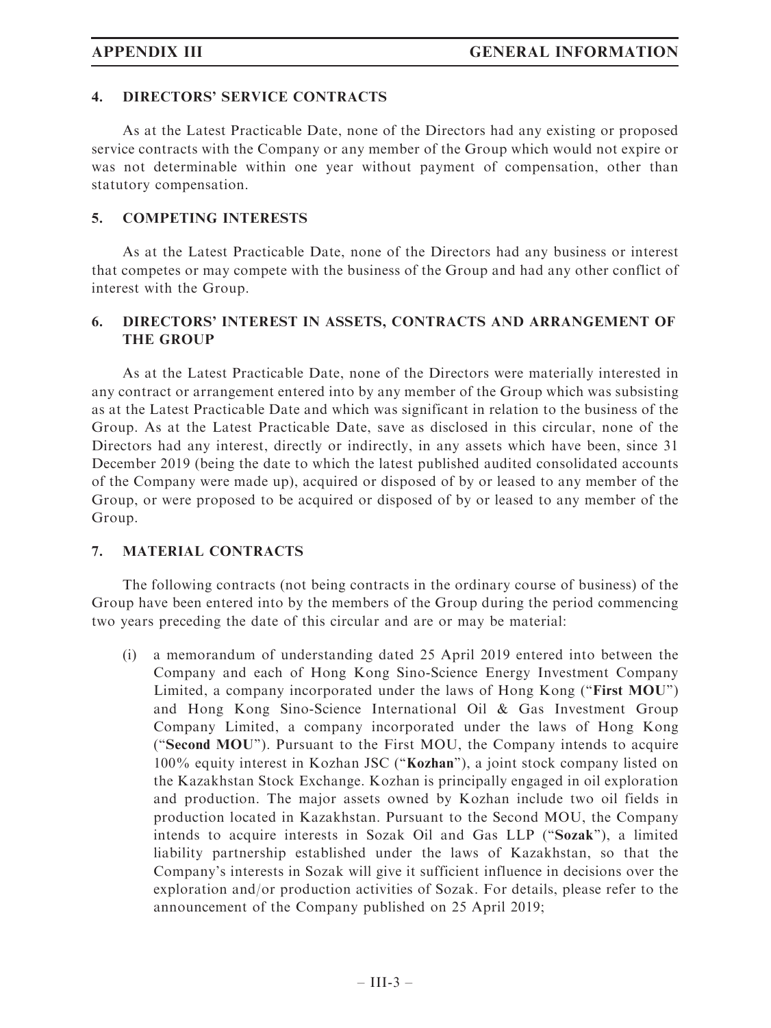# 4. DIRECTORS' SERVICE CONTRACTS

As at the Latest Practicable Date, none of the Directors had any existing or proposed service contracts with the Company or any member of the Group which would not expire or was not determinable within one year without payment of compensation, other than statutory compensation.

# 5. COMPETING INTERESTS

As at the Latest Practicable Date, none of the Directors had any business or interest that competes or may compete with the business of the Group and had any other conflict of interest with the Group.

# 6. DIRECTORS' INTEREST IN ASSETS, CONTRACTS AND ARRANGEMENT OF THE GROUP

As at the Latest Practicable Date, none of the Directors were materially interested in any contract or arrangement entered into by any member of the Group which was subsisting as at the Latest Practicable Date and which was significant in relation to the business of the Group. As at the Latest Practicable Date, save as disclosed in this circular, none of the Directors had any interest, directly or indirectly, in any assets which have been, since 31 December 2019 (being the date to which the latest published audited consolidated accounts of the Company were made up), acquired or disposed of by or leased to any member of the Group, or were proposed to be acquired or disposed of by or leased to any member of the Group.

# 7. MATERIAL CONTRACTS

The following contracts (not being contracts in the ordinary course of business) of the Group have been entered into by the members of the Group during the period commencing two years preceding the date of this circular and are or may be material:

(i) a memorandum of understanding dated 25 April 2019 entered into between the Company and each of Hong Kong Sino-Science Energy Investment Company Limited, a company incorporated under the laws of Hong Kong ("First MOU") and Hong Kong Sino-Science International Oil & Gas Investment Group Company Limited, a company incorporated under the laws of Hong Kong (''Second MOU''). Pursuant to the First MOU, the Company intends to acquire 100% equity interest in Kozhan JSC (''Kozhan''), a joint stock company listed on the Kazakhstan Stock Exchange. Kozhan is principally engaged in oil exploration and production. The major assets owned by Kozhan include two oil fields in production located in Kazakhstan. Pursuant to the Second MOU, the Company intends to acquire interests in Sozak Oil and Gas LLP (''Sozak''), a limited liability partnership established under the laws of Kazakhstan, so that the Company's interests in Sozak will give it sufficient influence in decisions over the exploration and/or production activities of Sozak. For details, please refer to the announcement of the Company published on 25 April 2019;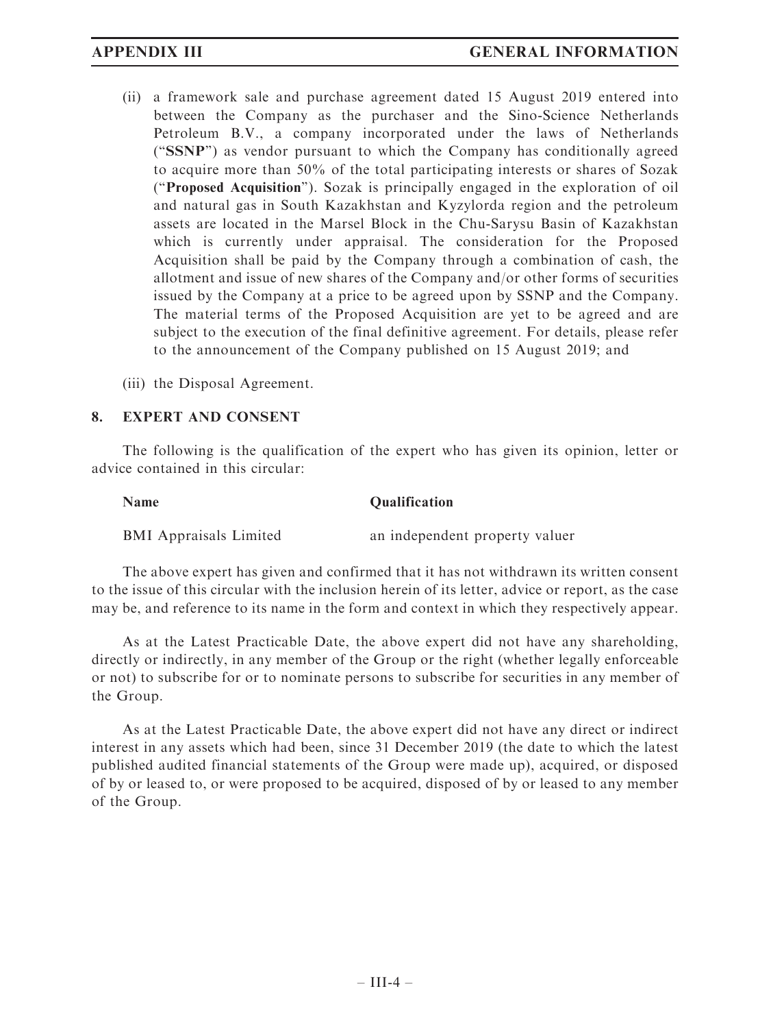(ii) a framework sale and purchase agreement dated 15 August 2019 entered into between the Company as the purchaser and the Sino-Science Netherlands Petroleum B.V., a company incorporated under the laws of Netherlands (''SSNP'') as vendor pursuant to which the Company has conditionally agreed to acquire more than 50% of the total participating interests or shares of Sozak (''Proposed Acquisition''). Sozak is principally engaged in the exploration of oil and natural gas in South Kazakhstan and Kyzylorda region and the petroleum assets are located in the Marsel Block in the Chu-Sarysu Basin of Kazakhstan which is currently under appraisal. The consideration for the Proposed Acquisition shall be paid by the Company through a combination of cash, the allotment and issue of new shares of the Company and/or other forms of securities issued by the Company at a price to be agreed upon by SSNP and the Company. The material terms of the Proposed Acquisition are yet to be agreed and are subject to the execution of the final definitive agreement. For details, please refer to the announcement of the Company published on 15 August 2019; and

(iii) the Disposal Agreement.

### 8. EXPERT AND CONSENT

The following is the qualification of the expert who has given its opinion, letter or advice contained in this circular:

| <b>Name</b>                   | <b>Qualification</b>           |
|-------------------------------|--------------------------------|
| <b>BMI</b> Appraisals Limited | an independent property valuer |

The above expert has given and confirmed that it has not withdrawn its written consent to the issue of this circular with the inclusion herein of its letter, advice or report, as the case may be, and reference to its name in the form and context in which they respectively appear.

As at the Latest Practicable Date, the above expert did not have any shareholding, directly or indirectly, in any member of the Group or the right (whether legally enforceable or not) to subscribe for or to nominate persons to subscribe for securities in any member of the Group.

As at the Latest Practicable Date, the above expert did not have any direct or indirect interest in any assets which had been, since 31 December 2019 (the date to which the latest published audited financial statements of the Group were made up), acquired, or disposed of by or leased to, or were proposed to be acquired, disposed of by or leased to any member of the Group.